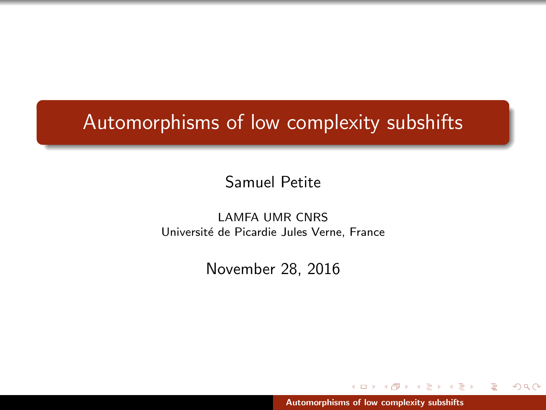# <span id="page-0-0"></span>Automorphisms of low complexity subshifts

Samuel Petite

LAMFA UMR CNRS Université de Picardie Jules Verne, France

November 28, 2016

[Automorphisms of low complexity subshifts](#page-81-0)

 $+$   $-$ 

一 三 一

E N 遥  $2Q$ 

 $4.171 +$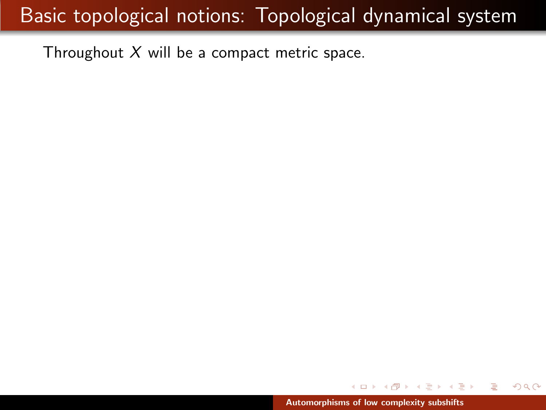Throughout  $X$  will be a compact metric space.

 $\leftarrow$   $\Box$ 

 $\epsilon = 1$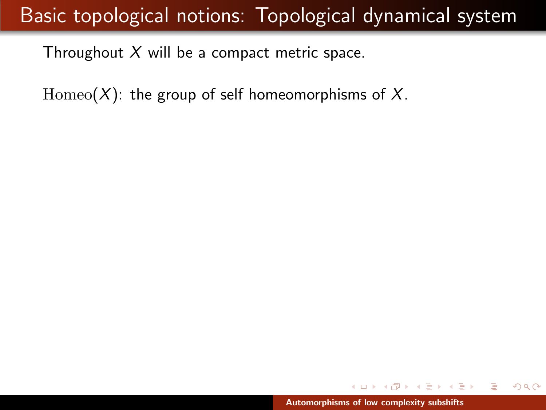Throughout  $X$  will be a compact metric space.

Homeo( $X$ ): the group of self homeomorphisms of  $X$ .

 $\lambda$  =  $\lambda$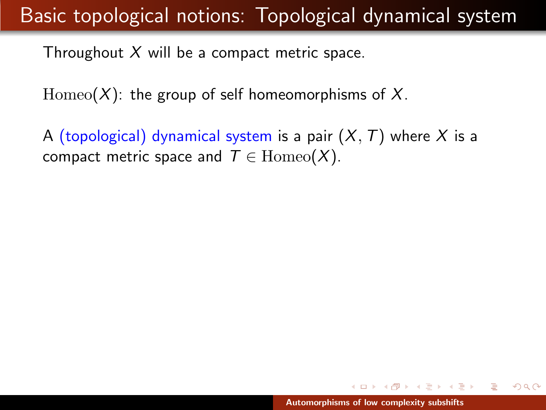Throughout  $X$  will be a compact metric space.

 $\text{Homeo}(X)$ : the group of self homeomorphisms of X.

A (topological) dynamical system is a pair  $(X, T)$  where X is a compact metric space and  $T \in \text{Homeo}(X)$ .

メター・メディ メディー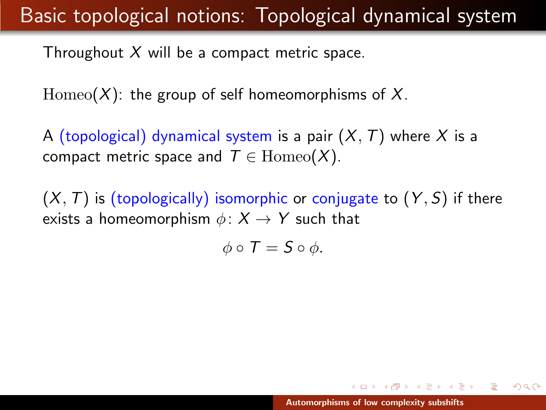Throughout  $X$  will be a compact metric space.

 $\text{Homeo}(X)$ : the group of self homeomorphisms of X.

A (topological) dynamical system is a pair  $(X, T)$  where X is a compact metric space and  $T \in \text{Homeo}(X)$ .

 $(X, T)$  is (topologically) isomorphic or conjugate to  $(Y, S)$  if there exists a homeomorphism  $\phi \colon X \to Y$  such that

 $\phi \circ T = S \circ \phi$ .

イロメ イ押 トラ ミトラ ミトー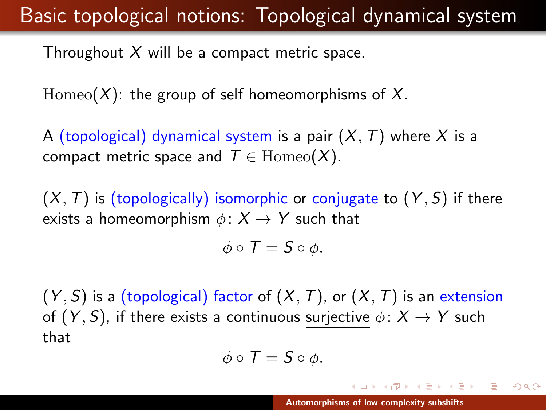Throughout  $X$  will be a compact metric space.

 $\text{Homeo}(X)$ : the group of self homeomorphisms of X.

A (topological) dynamical system is a pair  $(X, T)$  where X is a compact metric space and  $T \in \text{Homeo}(X)$ .

 $(X, T)$  is (topologically) isomorphic or conjugate to  $(Y, S)$  if there exists a homeomorphism  $\phi: X \rightarrow Y$  such that

$$
\phi\circ\mathcal{T}=\mathcal{S}\circ\phi.
$$

 $(Y, S)$  is a (topological) factor of  $(X, T)$ , or  $(X, T)$  is an extension of  $(Y, S)$ , if there exists a continuous surjective  $\phi \colon X \to Y$  such that

$$
\phi \circ \mathcal{T} = \mathcal{S} \circ \phi.
$$

イロメ イ母 トラ ミックス チャー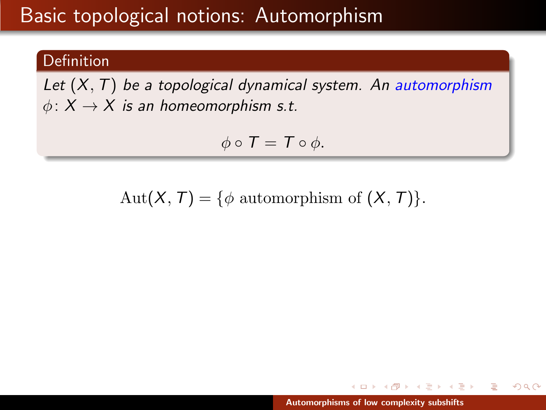#### Definition

Let  $(X, T)$  be a topological dynamical system. An automorphism  $\phi: X \to X$  is an homeomorphism s.t.

$$
\phi \circ T = T \circ \phi.
$$

Aut $(X, T) = \{\phi \text{ automorphism of } (X, T)\}.$ 

オタト オチト オチト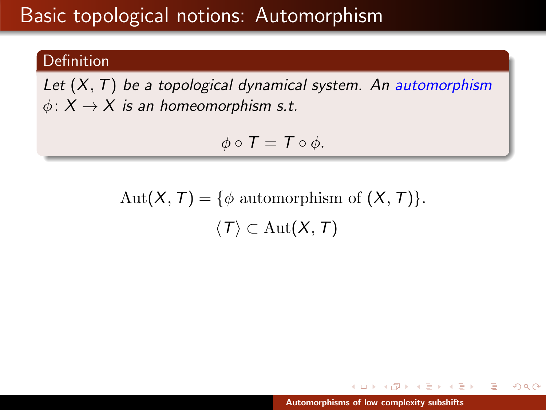#### Definition

Let  $(X, T)$  be a topological dynamical system. An automorphism  $\phi: X \to X$  is an homeomorphism s.t.

$$
\phi\circ T=T\circ\phi.
$$

Aut $(X, T) = \{\phi \text{ automorphism of } (X, T)\}.$  $\langle T \rangle \subset \text{Aut}(X,T)$ 

オタト オチト オチト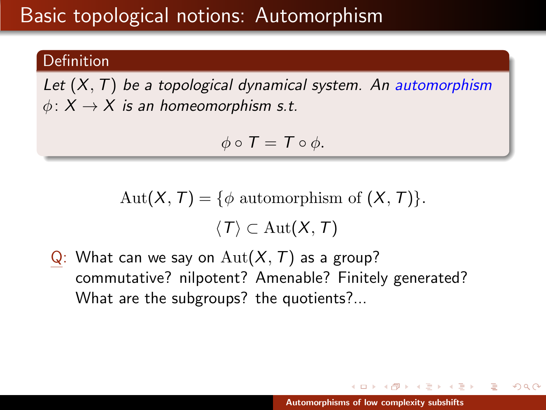#### Definition

Let  $(X, T)$  be a topological dynamical system. An automorphism  $\phi: X \to X$  is an homeomorphism s.t.

$$
\phi\circ T=T\circ\phi.
$$

$$
Aut(X, T) = \{ \phi \text{ automorphism of } (X, T) \}.
$$

$$
\langle T \rangle \subset Aut(X, T)
$$

Q: What can we say on  $\text{Aut}(X, \mathcal{T})$  as a group? commutative? nilpotent? Amenable? Finitely generated? What are the subgroups? the quotients?...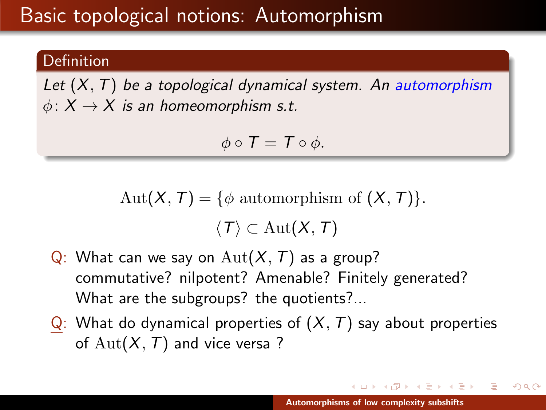#### Definition

Let  $(X, T)$  be a topological dynamical system. An automorphism  $\phi: X \to X$  is an homeomorphism s.t.

$$
\phi \circ T = T \circ \phi.
$$

$$
Aut(X, T) = \{ \phi \text{ automorphism of } (X, T) \}.
$$

$$
\langle T \rangle \subset Aut(X, T)
$$

- Q: What can we say on  $\text{Aut}(X, \mathcal{T})$  as a group? commutative? nilpotent? Amenable? Finitely generated? What are the subgroups? the quotients?...
- $Q:$  What do dynamical properties of  $(X, T)$  say about properties of  $Aut(X, T)$  and vice versa?

オタト オミト オミト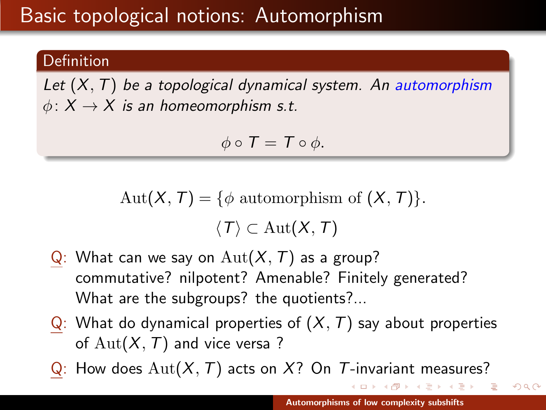#### Definition

Let  $(X, T)$  be a topological dynamical system. An automorphism  $\phi: X \to X$  is an homeomorphism s.t.

$$
\phi \circ T = T \circ \phi.
$$

$$
Aut(X, T) = \{ \phi \text{ automorphism of } (X, T) \}.
$$

$$
\langle T \rangle \subset Aut(X, T)
$$

- Q: What can we say on  $\text{Aut}(X, \mathcal{T})$  as a group? commutative? nilpotent? Amenable? Finitely generated? What are the subgroups? the quotients?...
- Q: What do dynamical properties of  $(X, T)$  say about properties of  $Aut(X, T)$  and vice versa?
- Q: How does  $\text{Aut}(X, \mathcal{T})$  acts on X? On T-invariant measures?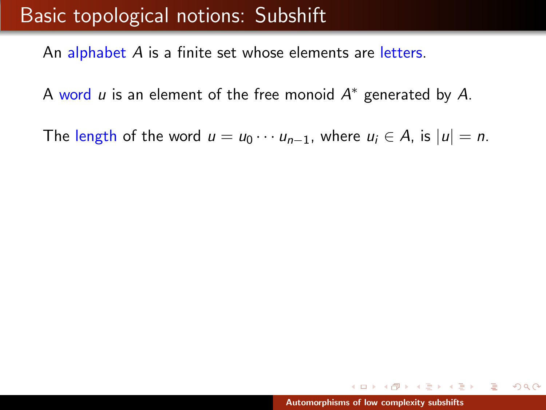An alphabet A is a finite set whose elements are letters.

A word  $u$  is an element of the free monoid  $A^*$  generated by  $A$ .

The length of the word  $u = u_0 \cdots u_{n-1}$ , where  $u_i \in A$ , is  $|u| = n$ .

 $\rightarrow$   $\equiv$   $\rightarrow$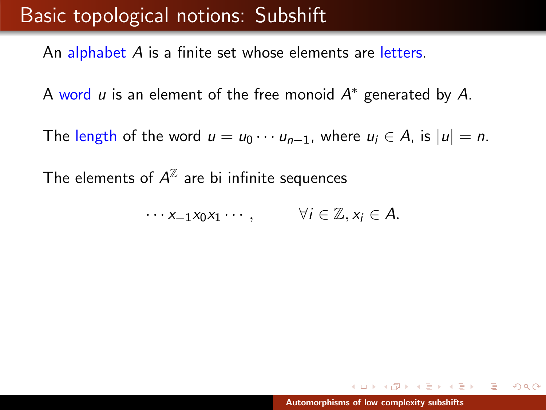An alphabet A is a finite set whose elements are letters.

A word  $u$  is an element of the free monoid  $A^*$  generated by  $A$ .

The length of the word  $u = u_0 \cdots u_{n-1}$ , where  $u_i \in A$ , is  $|u| = n$ .

The elements of  $\mathcal{A}^\mathbb{Z}$  are bi infinite sequences

 $\cdots x_{-1}x_0x_1\cdots, \qquad \forall i\in\mathbb{Z}, x_i\in A.$ 

メター・メディ スティー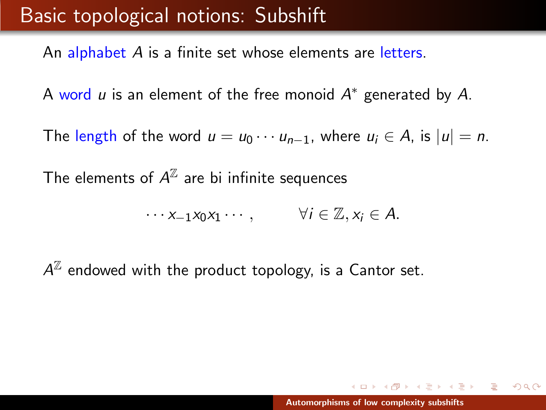An alphabet A is a finite set whose elements are letters.

A word  $u$  is an element of the free monoid  $A^*$  generated by  $A$ .

The length of the word  $u = u_0 \cdots u_{n-1}$ , where  $u_i \in A$ , is  $|u| = n$ .

The elements of  $\mathcal{A}^\mathbb{Z}$  are bi infinite sequences

 $\cdots x_{-1}x_0x_1\cdots, \qquad \forall i\in\mathbb{Z}, x_i\in A.$ 

 $A^\mathbb{Z}$  endowed with the product topology, is a Cantor set.

 $\Omega$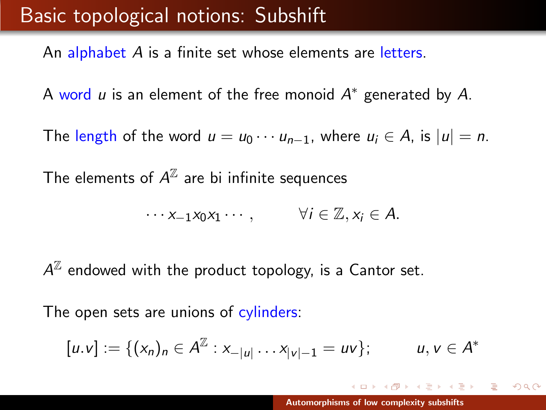An alphabet A is a finite set whose elements are letters.

A word  $u$  is an element of the free monoid  $A^*$  generated by  $A$ .

The length of the word  $u = u_0 \cdots u_{n-1}$ , where  $u_i \in A$ , is  $|u| = n$ .

The elements of  $\mathcal{A}^\mathbb{Z}$  are bi infinite sequences

$$
\cdots x_{-1}x_0x_1\cdots, \qquad \forall i\in\mathbb{Z}, x_i\in A.
$$

 $A^\mathbb{Z}$  endowed with the product topology, is a Cantor set.

The open sets are unions of cylinders:

$$
[u.v] := \{ (x_n)_n \in A^{\mathbb{Z}} : x_{-|u|} \dots x_{|v|-1} = uv \}; \qquad u, v \in A^*
$$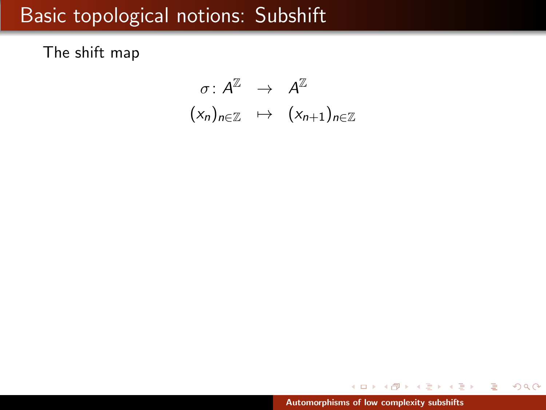The shift map

 $\sigma \colon \mathsf{A}^\mathbb{Z} \quad \to \quad \mathsf{A}^\mathbb{Z}$  $(x_n)_{n\in\mathbb{Z}} \mapsto (x_{n+1})_{n\in\mathbb{Z}}$ 

メタトメミトメミト

重

 $2Q$ 

a mille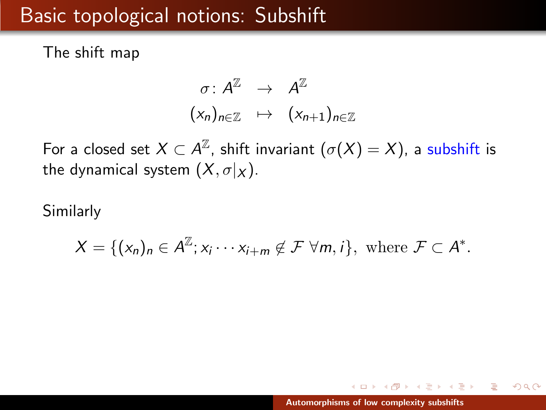The shift map

$$
\begin{array}{rcl}\n\sigma: A^{\mathbb{Z}} & \rightarrow & A^{\mathbb{Z}} \\
(x_n)_{n \in \mathbb{Z}} & \mapsto & (x_{n+1})_{n \in \mathbb{Z}}\n\end{array}
$$

For a closed set  $X\subset A^\mathbb{Z}$ , shift invariant  $(\sigma(X)=X)$ , a subshift is the dynamical system  $(X, \sigma|_X)$ .

Similarly

$$
X = \{ (x_n)_n \in A^{\mathbb{Z}}; x_i \cdots x_{i+m} \notin \mathcal{F} \ \forall m, i \}, \text{ where } \mathcal{F} \subset A^*.
$$

用 レイチャ

 $\rightarrow$   $\pm$   $\rightarrow$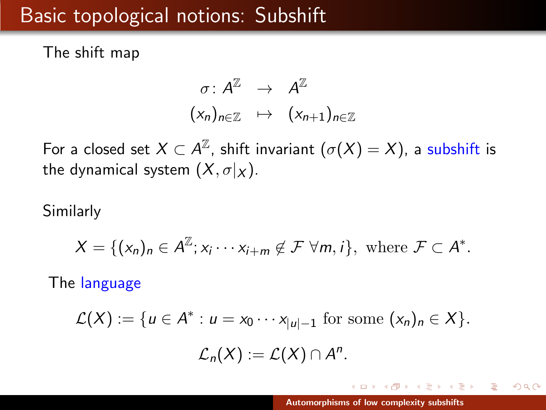The shift map

$$
\begin{array}{rcl}\n\sigma: A^{\mathbb{Z}} & \rightarrow & A^{\mathbb{Z}} \\
(x_n)_{n \in \mathbb{Z}} & \mapsto & (x_{n+1})_{n \in \mathbb{Z}}\n\end{array}
$$

For a closed set  $X\subset A^\mathbb{Z}$ , shift invariant  $(\sigma(X)=X)$ , a subshift is the dynamical system  $(X, \sigma|_X)$ .

Similarly

$$
X = \{ (x_n)_n \in A^{\mathbb{Z}}; x_i \cdots x_{i+m} \notin \mathcal{F} \ \forall m, i \}, \text{ where } \mathcal{F} \subset A^*.
$$

The language

$$
\mathcal{L}(X) := \{ u \in A^* : u = x_0 \cdots x_{|u|-1} \text{ for some } (x_n)_n \in X \}.
$$
  

$$
\mathcal{L}_n(X) := \mathcal{L}(X) \cap A^n.
$$

**ALC: N** 

A P

 $\rightarrow$   $\equiv$   $\rightarrow$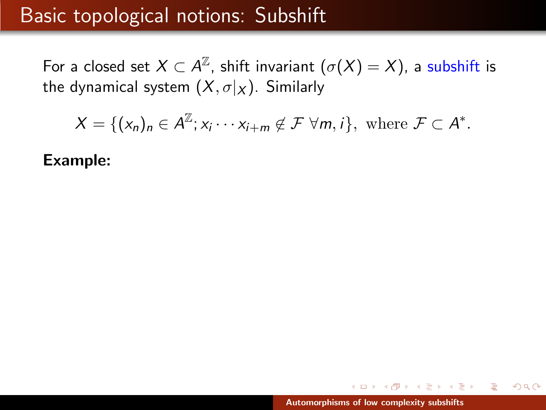For a closed set  $X\subset \mathcal{A}^\mathbb{Z}$ , shift invariant  $(\sigma(X)=X)$ , a subshift is the dynamical system  $(X, \sigma | X)$ . Similarly

$$
X = \{ (x_n)_n \in A^{\mathbb{Z}}; x_i \cdots x_{i+m} \notin \mathcal{F} \ \forall m, i \}, \text{ where } \mathcal{F} \subset A^*.
$$

Example:

 $4.17 \pm 1.0$ 

 $4.50 \times 4.70 \times 4.70 \times$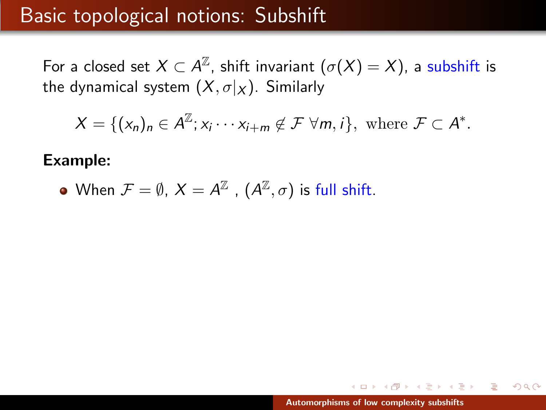For a closed set  $X\subset \mathcal{A}^\mathbb{Z}$ , shift invariant  $(\sigma(X)=X)$ , a subshift is the dynamical system  $(X, \sigma | X)$ . Similarly

$$
X = \{ (x_n)_n \in A^{\mathbb{Z}}; x_i \cdots x_{i+m} \notin \mathcal{F} \ \forall m, i \}, \text{ where } \mathcal{F} \subset A^*.
$$

#### Example:

• When 
$$
\mathcal{F} = \emptyset
$$
,  $X = A^{\mathbb{Z}}$ ,  $(A^{\mathbb{Z}}, \sigma)$  is full shift.

 $4.17 \pm 1.0$ 

 $4.50 \times 4.70 \times 4.70 \times$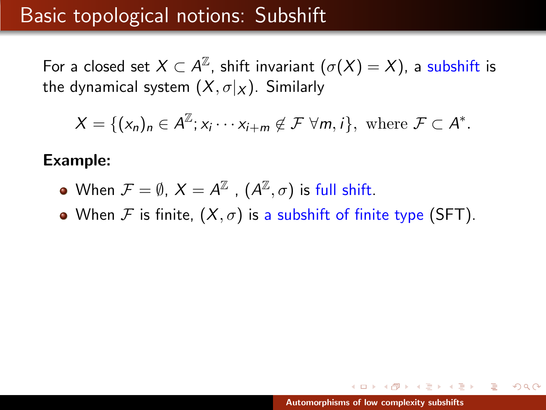For a closed set  $X\subset \mathcal{A}^\mathbb{Z}$ , shift invariant  $(\sigma(X)=X)$ , a subshift is the dynamical system  $(X, \sigma | X)$ . Similarly

$$
X = \{ (x_n)_n \in A^{\mathbb{Z}}; x_i \cdots x_{i+m} \notin \mathcal{F} \ \forall m, i \}, \text{ where } \mathcal{F} \subset A^*.
$$

#### Example:

- When  $\mathcal{F}=\emptyset$ ,  $X=A^{\mathbb{Z}}$  ,  $(A^{\mathbb{Z}},\sigma)$  is full shift.
- When F is finite,  $(X, \sigma)$  is a subshift of finite type (SFT).

 $\mathcal{A}$  and  $\mathcal{A}$  . The set of  $\mathcal{B}$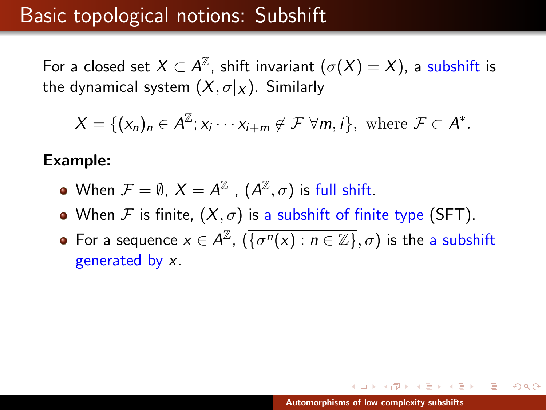For a closed set  $X\subset \mathcal{A}^\mathbb{Z}$ , shift invariant  $(\sigma(X)=X)$ , a subshift is the dynamical system  $(X, \sigma | X)$ . Similarly

$$
X = \{ (x_n)_n \in A^{\mathbb{Z}}; x_i \cdots x_{i+m} \notin \mathcal{F} \ \forall m, i \}, \text{ where } \mathcal{F} \subset A^*.
$$

#### Example:

- When  $\mathcal{F}=\emptyset$ ,  $X=A^{\mathbb{Z}}$  ,  $(A^{\mathbb{Z}},\sigma)$  is full shift.
- When F is finite,  $(X, \sigma)$  is a subshift of finite type (SFT).
- For a sequence  $x \in A^{\mathbb{Z}}$ ,  $(\overline{\{\sigma^n(x) : n \in \mathbb{Z}\}}, \sigma)$  is the a subshift generated by x.

 $\mathcal{A} \cap \mathcal{A} \cap \mathcal{B} \longrightarrow \mathcal{A} \cap \mathcal{B} \longrightarrow \mathcal{A}$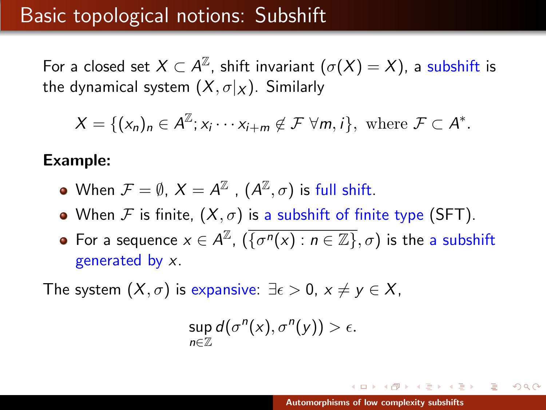For a closed set  $X\subset \mathcal{A}^\mathbb{Z}$ , shift invariant  $(\sigma(X)=X)$ , a subshift is the dynamical system  $(X, \sigma | X)$ . Similarly

$$
X = \{ (x_n)_n \in A^{\mathbb{Z}}; x_i \cdots x_{i+m} \notin \mathcal{F} \ \forall m, i \}, \text{ where } \mathcal{F} \subset A^*.
$$

#### Example:

- When  $\mathcal{F}=\emptyset$ ,  $X=A^{\mathbb{Z}}$  ,  $(A^{\mathbb{Z}},\sigma)$  is full shift.
- When F is finite,  $(X, \sigma)$  is a subshift of finite type (SFT).
- For a sequence  $x \in A^{\mathbb{Z}}$ ,  $(\overline{\{\sigma^n(x) : n \in \mathbb{Z}\}}, \sigma)$  is the a subshift generated by x.

The system  $(X, \sigma)$  is expansive:  $\exists \epsilon > 0$ ,  $x \neq y \in X$ ,

$$
\sup_{n\in\mathbb{Z}}d(\sigma^n(x),\sigma^n(y))>\epsilon.
$$

イロメ イ母 トラ ミュース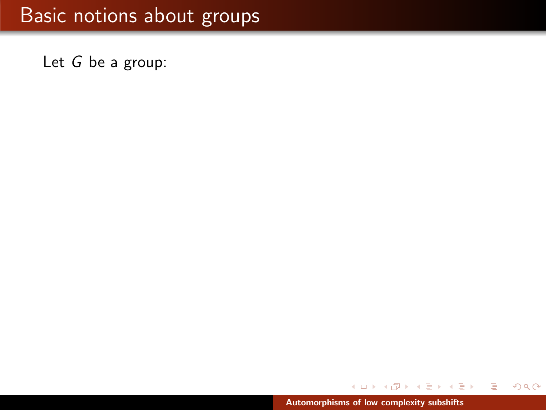Let G be a group:

A  $\sim$ メ 店 ト ∢ 重う

重

 $299$ 

 $\leftarrow$   $\Box$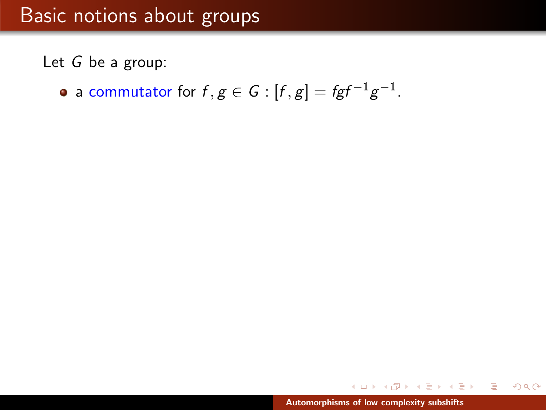Let G be a group:

a commutator for  $f,g\in\mathcal{G}$  :  $[f,g]=fgf^{-1}g^{-1}.$ 

 $\mathcal{A}$   $\mathcal{F}$   $\mathcal{F}$   $\mathcal{A}$   $\mathcal{F}$   $\mathcal{F}$ 

∢ 重 ≯

遥

 $4.17 \pm 1.0$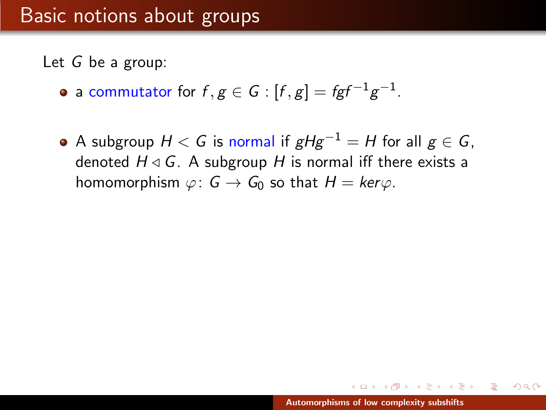Let G be a group:

- a commutator for  $f,g\in\mathcal{G}$  :  $[f,g]=fgf^{-1}g^{-1}.$
- A subgroup  $H < G$  is normal if  $gHg^{-1} = H$  for all  $g \in G$ , denoted  $H \triangleleft G$ . A subgroup H is normal iff there exists a homomorphism  $\varphi: G \to G_0$  so that  $H = \text{ker}\varphi$ .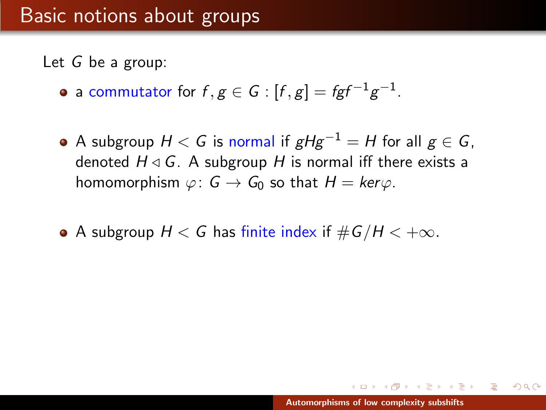Let G be a group:

- a commutator for  $f,g\in\mathcal{G}$  :  $[f,g]=fgf^{-1}g^{-1}.$
- A subgroup  $H < G$  is normal if  $gHg^{-1} = H$  for all  $g \in G$ , denoted  $H \triangleleft G$ . A subgroup H is normal iff there exists a homomorphism  $\varphi: G \to G_0$  so that  $H = \text{ker}\varphi$ .
- A subgroup  $H < G$  has finite index if  $\#G/H < +\infty$ .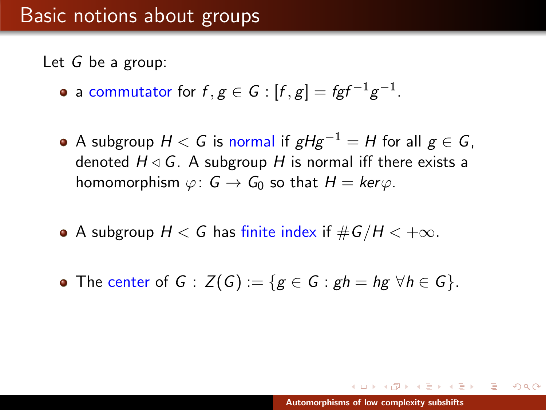Let G be a group:

- a commutator for  $f,g\in\mathcal{G}$  :  $[f,g]=fgf^{-1}g^{-1}.$
- A subgroup  $H < G$  is normal if  $gHg^{-1} = H$  for all  $g \in G$ , denoted  $H \triangleleft G$ . A subgroup H is normal iff there exists a homomorphism  $\varphi: G \to G_0$  so that  $H = \text{ker}\varphi$ .
- A subgroup  $H < G$  has finite index if  $\#G/H < +\infty$ .
- The center of  $G : Z(G) := \{ g \in G : gh = hg \ \forall h \in G \}.$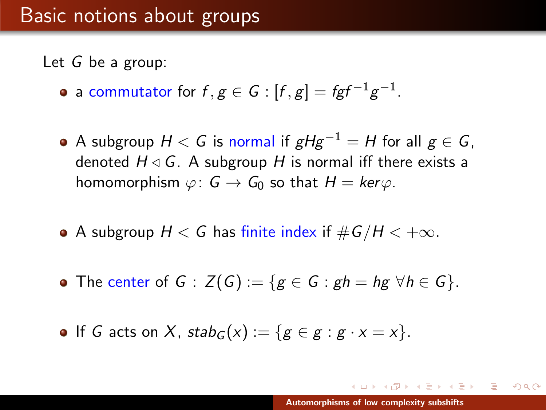Let G be a group:

- a commutator for  $f,g\in\mathcal{G}$  :  $[f,g]=fgf^{-1}g^{-1}.$
- A subgroup  $H < G$  is normal if  $gHg^{-1} = H$  for all  $g \in G$ , denoted  $H \triangleleft G$ . A subgroup H is normal iff there exists a homomorphism  $\varphi: G \to G_0$  so that  $H = \text{ker}\varphi$ .
- A subgroup  $H < G$  has finite index if  $\#G/H < +\infty$ .
- The center of  $G : Z(G) := \{ g \in G : gh = hg \ \forall h \in G \}.$

• If G acts on X,  $stab_G(x) := \{ g \in g : g \cdot x = x \}.$ 

イロメ イ押 トイラ トイラメー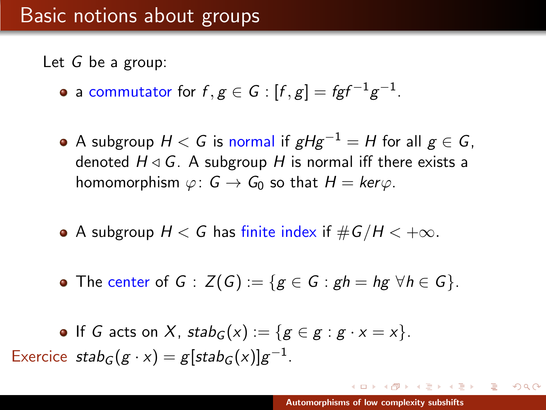Let G be a group:

- a commutator for  $f,g\in\mathcal{G}$  :  $[f,g]=fgf^{-1}g^{-1}.$
- A subgroup  $H < G$  is normal if  $gHg^{-1} = H$  for all  $g \in G$ , denoted  $H \triangleleft G$ . A subgroup H is normal iff there exists a homomorphism  $\varphi: G \to G_0$  so that  $H = \text{ker}\varphi$ .
- A subgroup  $H < G$  has finite index if  $\#G/H < +\infty$ .
- The center of  $G : Z(G) := \{ g \in G : gh = hg \ \forall h \in G \}.$

• If *G* acts on *X*, 
$$
stab_G(x) := \{ g \in g : g \cdot x = x \}
$$
.  
Exercise  $stab_G(g \cdot x) = g[stab_G(x)]g^{-1}$ .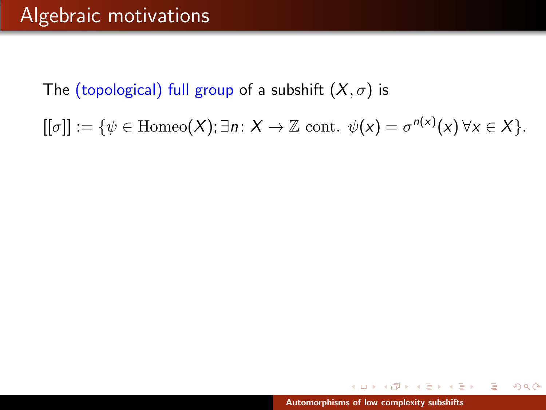$[[\sigma]] := \{ \psi \in \text{Homeo}(X); \exists n: X \to \mathbb{Z} \text{ cont. } \psi(x) = \sigma^{n(x)}(x) \,\forall x \in X \}.$ 

マーター マーティング エー・エー

舌

 $2Q$ 

a mills.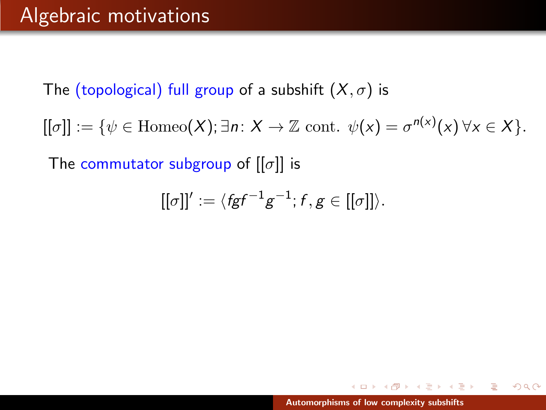$[[\sigma]] := \{ \psi \in \text{Homeo}(X); \exists n: X \to \mathbb{Z} \text{ cont. } \psi(x) = \sigma^{n(x)}(x) \,\forall x \in X \}.$ 

The commutator subgroup of  $[[\sigma]]$  is

$$
[[\sigma]]':=\langle fgf^{-1}g^{-1};f,g\in [[\sigma]]\rangle.
$$

イロメ イ押 トラ ミトラ ミトー

舌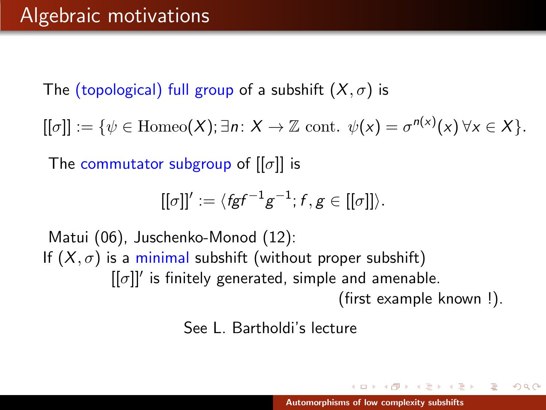$[[\sigma]] := \{ \psi \in \text{Homeo}(X); \exists n: X \to \mathbb{Z} \text{ cont. } \psi(x) = \sigma^{n(x)}(x) \,\forall x \in X \}.$ 

The commutator subgroup of  $[[\sigma]]$  is

$$
[[\sigma]]':=\langle \mathit{fgf}^{-1}g^{-1};f,g\in [[\sigma]]\rangle.
$$

Matui (06), Juschenko-Monod (12): If  $(X, \sigma)$  is a minimal subshift (without proper subshift)  $[[\sigma]]'$  is finitely generated, simple and amenable. (first example known !).

See L. Bartholdi's lecture

イロメ イ押 トラ ミトラ ミトー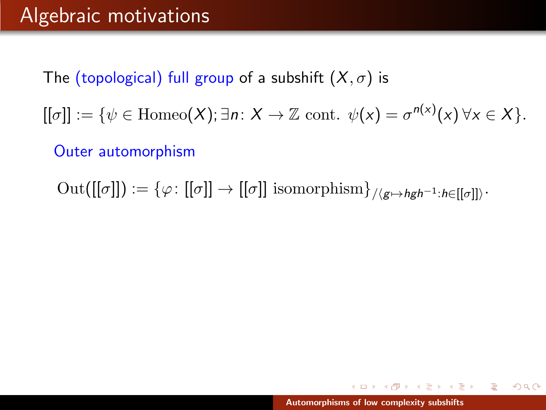$[[\sigma]] := \{ \psi \in \text{Homeo}(X); \exists n: X \to \mathbb{Z} \text{ cont. } \psi(x) = \sigma^{n(x)}(x) \,\forall x \in X \}.$ 

Outer automorphism

 $\mathrm{Out}([[\sigma]]) := \{\varphi \colon [[\sigma]] \to [[\sigma]] \text{ isomorphism}\}_{/\langle g \mapsto hgh^{-1}:h \in [[\sigma]]\rangle}.$ 

イロト イ押 トイラト イラト・ブラ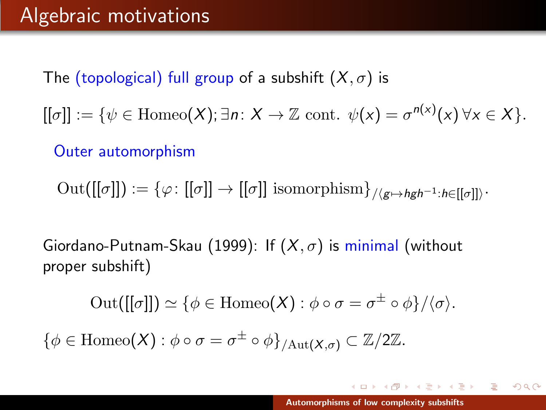$[[\sigma]] := \{ \psi \in \text{Homeo}(X); \exists n: X \to \mathbb{Z} \text{ cont. } \psi(x) = \sigma^{n(x)}(x) \,\forall x \in X \}.$ 

Outer automorphism

 $\mathrm{Out}([[\sigma]]) := \{\varphi \colon [[\sigma]] \to [[\sigma]] \text{ isomorphism}\}_{/\langle g \mapsto hgh^{-1}:h \in [[\sigma]]\rangle}.$ 

Giordano-Putnam-Skau (1999): If  $(X, \sigma)$  is minimal (without proper subshift)

$$
\mathrm{Out}([[\sigma]]) \simeq \{\phi \in \mathrm{Homeo}(X) : \phi \circ \sigma = \sigma^{\pm} \circ \phi\}/\langle \sigma \rangle.
$$

 $\{\phi \in \text{Homeo}(X) : \phi \circ \sigma = \sigma^{\pm} \circ \phi\}_{/\text{Aut}(X,\sigma)} \subset \mathbb{Z}/2\mathbb{Z}.$ 

 $(0,1)$   $(0,1)$   $(0,1)$   $(1,1)$   $(1,1)$   $(1,1)$   $(1,1)$   $(1,1)$   $(1,1)$   $(1,1)$   $(1,1)$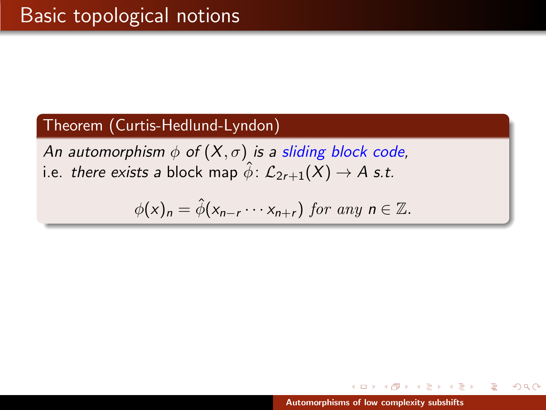#### Theorem (Curtis-Hedlund-Lyndon)

An automorphism  $\phi$  of  $(X, \sigma)$  is a sliding block code, i.e. there exists a block map  $\hat{\phi}$ :  $\mathcal{L}_{2r+1}(X) \rightarrow A$  s.t.

$$
\phi(x)_n = \hat{\phi}(x_{n-r} \cdots x_{n+r}) \text{ for any } n \in \mathbb{Z}.
$$

A P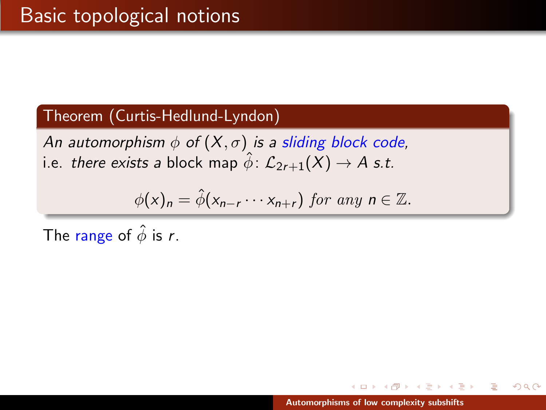An automorphism  $\phi$  of  $(X, \sigma)$  is a sliding block code, i.e. there exists a block map  $\hat{\phi}$ :  $\mathcal{L}_{2r+1}(X) \rightarrow A$  s.t.

$$
\phi(x)_n = \hat{\phi}(x_{n-r} \cdots x_{n+r}) \text{ for any } n \in \mathbb{Z}.
$$

The range of  $\hat{\phi}$  is r.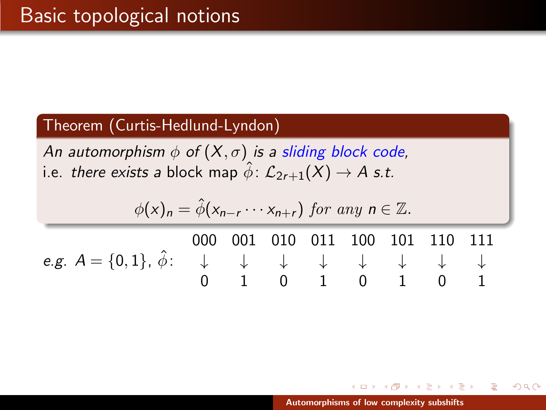An automorphism  $\phi$  of  $(X, \sigma)$  is a sliding block code, i.e. there exists a block map  $\hat{\phi}$ :  $\mathcal{L}_{2r+1}(X) \rightarrow A$  s.t.

$$
\phi(x)_n = \hat{\phi}(x_{n-r} \cdots x_{n+r}) \text{ for any } n \in \mathbb{Z}.
$$
  
\n000 001 010 011 100 101 110 111  
\ne.g.  $A = \{0, 1\}, \hat{\phi}: \begin{array}{ccc} \downarrow & \downarrow & \downarrow & \downarrow & \downarrow \\ 0 & 1 & 0 & 1 & 0 & 1 \end{array} \qquad \begin{array}{ccc} \downarrow & \downarrow & \downarrow & \downarrow \\ \downarrow & \downarrow & \downarrow & \downarrow & \downarrow \\ 0 & 1 & 0 & 1 & 0 & 1 \end{array}$ 

AD - 4 E - 1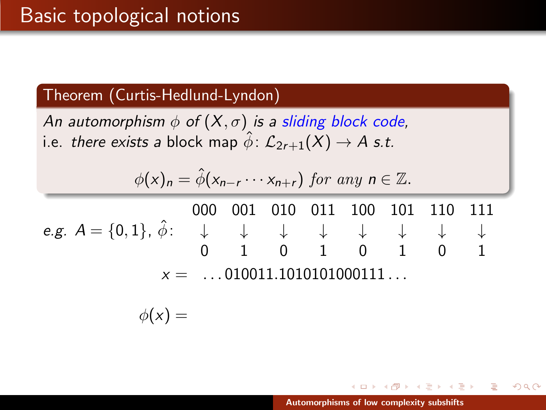An automorphism  $\phi$  of  $(X, \sigma)$  is a sliding block code, i.e. there exists a block map  $\hat{\phi}$ :  $\mathcal{L}_{2r+1}(X) \rightarrow A$  s.t.

$$
\phi(x)_n = \hat{\phi}(x_{n-r} \cdots x_{n+r}) \text{ for any } n \in \mathbb{Z}.
$$

e.g.  $A = \{0,1\}$ ,  $\hat{\phi}$ : 000 001 010 011 100 101 110 111 ↓ ↓ ↓ ↓ ↓ ↓ ↓ ↓ 0 1 0 1 0 1 0 1  $x =$  ... 010011.1010101000111...

$$
\phi(x) =
$$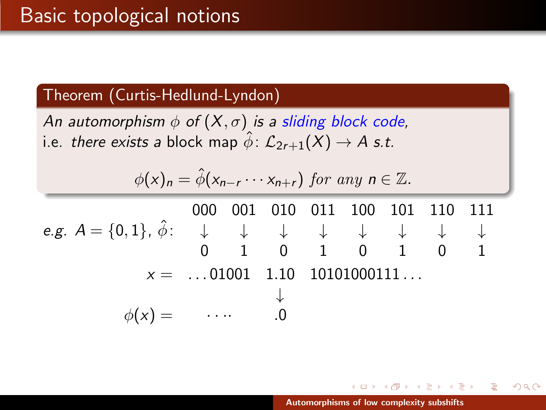An automorphism  $\phi$  of  $(X, \sigma)$  is a sliding block code, i.e. there exists a block map  $\hat{\phi}$ :  $\mathcal{L}_{2r+1}(X) \rightarrow A$  s.t.

$$
\phi(x)_n = \hat{\phi}(x_{n-r} \cdots x_{n+r}) \text{ for any } n \in \mathbb{Z}.
$$

e.g.  $A = \{0,1\}$ ,  $\hat{\phi}$ : 000 001 010 011 100 101 110 111 ↓ ↓ ↓ ↓ ↓ ↓ ↓ ↓ 0 1 0 1 0 1 0 1  $x =$  ...01001 1.10 10101000111... ↓  $\phi(x) =$   $\cdots$  .0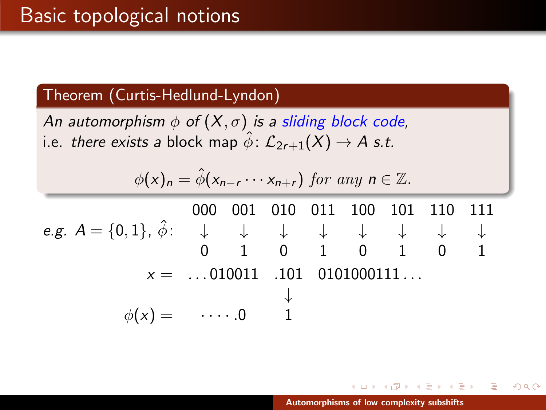An automorphism  $\phi$  of  $(X, \sigma)$  is a sliding block code, i.e. there exists a block map  $\hat{\phi}$ :  $\mathcal{L}_{2r+1}(X) \rightarrow A$  s.t.

$$
\phi(x)_n = \hat{\phi}(x_{n-r} \cdots x_{n+r}) \text{ for any } n \in \mathbb{Z}.
$$

e.g.  $A = \{0,1\}$ ,  $\hat{\phi}$ : 000 001 010 011 100 101 110 111 ↓ ↓ ↓ ↓ ↓ ↓ ↓ ↓ 0 1 0 1 0 1 0 1  $x =$  ...010011 .101 0101000111... ↓  $\phi(x) = \cdots 0$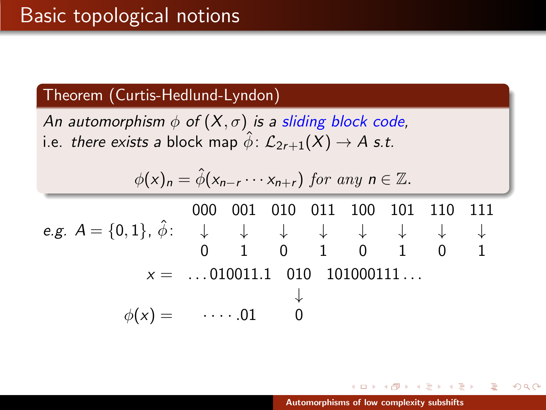An automorphism  $\phi$  of  $(X, \sigma)$  is a sliding block code, i.e. there exists a block map  $\hat{\phi}$ :  $\mathcal{L}_{2r+1}(X) \rightarrow A$  s.t.

$$
\phi(x)_n = \hat{\phi}(x_{n-r} \cdots x_{n+r}) \text{ for any } n \in \mathbb{Z}.
$$

e.g.  $A = \{0,1\}$ ,  $\hat{\phi}$ : 000 001 010 011 100 101 110 111 ↓ ↓ ↓ ↓ ↓ ↓ ↓ ↓ 0 1 0 1 0 1 0 1  $x =$  ...010011.1 010 101000111... ↓  $\phi(x) = \cdots 0.01$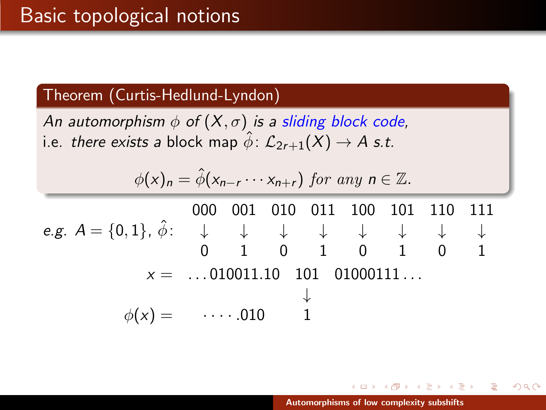An automorphism  $\phi$  of  $(X, \sigma)$  is a sliding block code, i.e. there exists a block map  $\hat{\phi}$ :  $\mathcal{L}_{2r+1}(X) \rightarrow A$  s.t.

$$
\phi(x)_n = \hat{\phi}(x_{n-r} \cdots x_{n+r}) \text{ for any } n \in \mathbb{Z}.
$$

e.g.  $A = \{0,1\}$ ,  $\hat{\phi}$ : 000 001 010 011 100 101 110 111 ↓ ↓ ↓ ↓ ↓ ↓ ↓ ↓ 0 1 0 1 0 1 0 1  $x =$  ...010011.10 101 01000111... ↓  $\phi(x) = \cdots 010$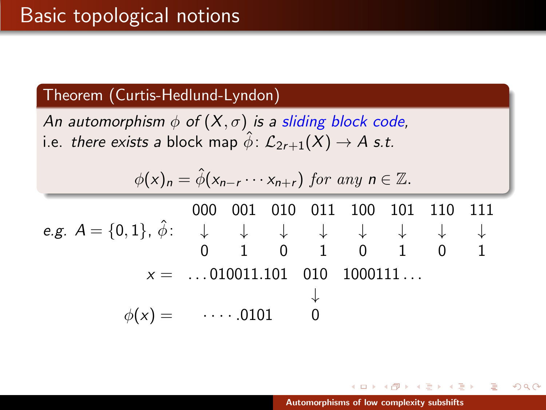An automorphism  $\phi$  of  $(X, \sigma)$  is a sliding block code, i.e. there exists a block map  $\hat{\phi}$ :  $\mathcal{L}_{2r+1}(X) \rightarrow A$  s.t.

$$
\phi(x)_n = \hat{\phi}(x_{n-r} \cdots x_{n+r}) \text{ for any } n \in \mathbb{Z}.
$$

e.g.  $A = \{0,1\}$ ,  $\hat{\phi}$ : 000 001 010 011 100 101 110 111 ↓ ↓ ↓ ↓ ↓ ↓ ↓ ↓ 0 1 0 1 0 1 0 1  $x =$  ...010011.101 010 1000111... ↓  $\phi(x) = \cdots 0101$ 

 $\Box$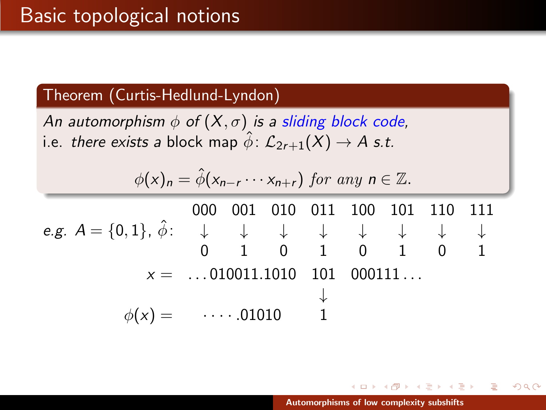An automorphism  $\phi$  of  $(X, \sigma)$  is a sliding block code, i.e. there exists a block map  $\hat{\phi}$ :  $\mathcal{L}_{2r+1}(X) \rightarrow A$  s.t.

$$
\phi(x)_n = \hat{\phi}(x_{n-r} \cdots x_{n+r}) \text{ for any } n \in \mathbb{Z}.
$$

e.g.  $A = \{0,1\}$ ,  $\hat{\phi}$ : 000 001 010 011 100 101 110 111 ↓ ↓ ↓ ↓ ↓ ↓ ↓ ↓ 0 1 0 1 0 1 0 1  $x =$  ...010011.1010 101 000111... ↓  $\phi(x) = \cdots 01010$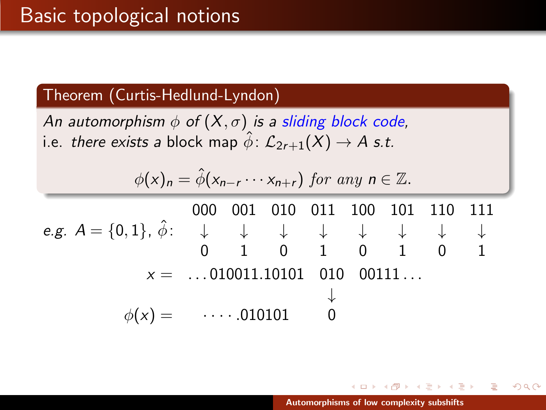An automorphism  $\phi$  of  $(X, \sigma)$  is a sliding block code, i.e. there exists a block map  $\hat{\phi}$ :  $\mathcal{L}_{2r+1}(X) \rightarrow A$  s.t.

$$
\phi(x)_n = \hat{\phi}(x_{n-r} \cdots x_{n+r}) \text{ for any } n \in \mathbb{Z}.
$$

e.g.  $A = \{0,1\}$ ,  $\hat{\phi}$ : 000 001 010 011 100 101 110 111 ↓ ↓ ↓ ↓ ↓ ↓ ↓ ↓ 0 1 0 1 0 1 0 1  $x =$  ...010011.10101 010 00111... ↓  $\phi(x) = \cdots 010101$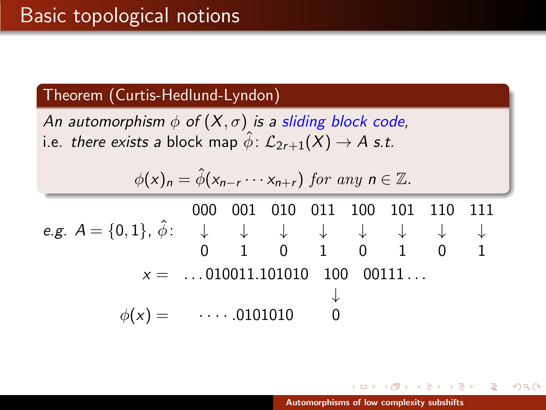An automorphism  $\phi$  of  $(X, \sigma)$  is a sliding block code, i.e. there exists a block map  $\hat{\phi}$ :  $\mathcal{L}_{2r+1}(X) \rightarrow A$  s.t.

$$
\phi(x)_n = \hat{\phi}(x_{n-r} \cdots x_{n+r}) \text{ for any } n \in \mathbb{Z}.
$$

e.g.  $A = \{0,1\}$ ,  $\hat{\phi}$ : 000 001 010 011 100 101 110 111 ↓ ↓ ↓ ↓ ↓ ↓ ↓ ↓ 0 1 0 1 0 1 0 1  $x =$  ... 010011.101010 100 00111... ↓  $\phi(x) = \cdots 0101010$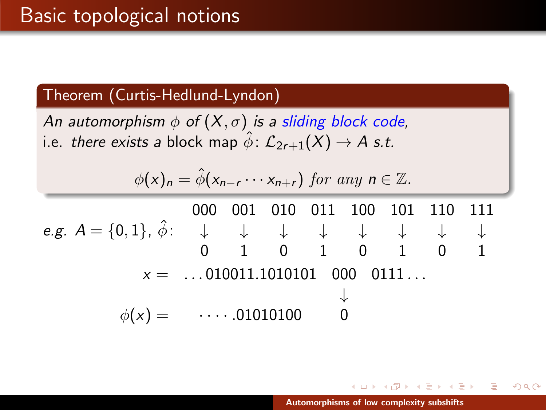An automorphism  $\phi$  of  $(X, \sigma)$  is a sliding block code, i.e. there exists a block map  $\hat{\phi}$ :  $\mathcal{L}_{2r+1}(X) \rightarrow A$  s.t.

$$
\phi(x)_n = \hat{\phi}(x_{n-r} \cdots x_{n+r}) \text{ for any } n \in \mathbb{Z}.
$$

e.g.  $A = \{0,1\}$ ,  $\hat{\phi}$ : 000 001 010 011 100 101 110 111 ↓ ↓ ↓ ↓ ↓ ↓ ↓ ↓ 0 1 0 1 0 1 0 1  $x =$  ... 010011.1010101 000 0111... ↓  $\phi(x) =$   $\cdots$  .01010100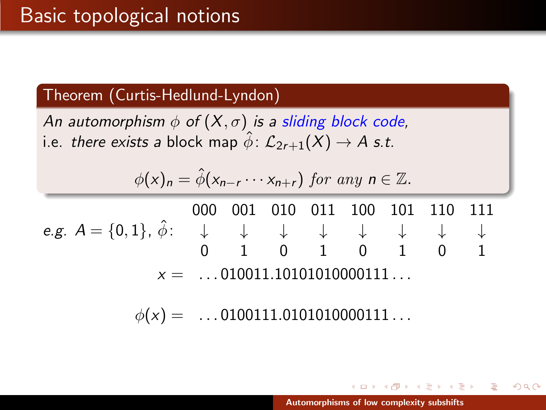An automorphism  $\phi$  of  $(X, \sigma)$  is a sliding block code, i.e. there exists a block map  $\hat{\phi}$ :  $\mathcal{L}_{2r+1}(X) \rightarrow A$  s.t.

$$
\phi(x)_n = \hat{\phi}(x_{n-r} \cdots x_{n+r}) \text{ for any } n \in \mathbb{Z}.
$$

e.g.  $A = \{0,1\}$ ,  $\hat{\phi}$ : 000 001 010 011 100 101 110 111 ↓ ↓ ↓ ↓ ↓ ↓ ↓ ↓ 0 1 0 1 0 1 0 1  $x =$  ...010011.10101010000111...

 $\phi(x) =$  ...0100111.0101010000111...

4 A D D 4 E D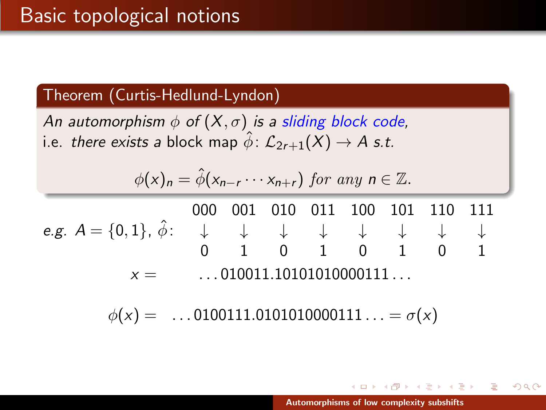An automorphism  $\phi$  of  $(X, \sigma)$  is a sliding block code, i.e. there exists a block map  $\hat{\phi}$ :  $\mathcal{L}_{2r+1}(X) \rightarrow A$  s.t.

$$
\phi(x)_n = \hat{\phi}(x_{n-r} \cdots x_{n+r}) \text{ for any } n \in \mathbb{Z}.
$$

e.g.  $A = \{0,1\}$ ,  $\hat{\phi}$ : 000 001 010 011 100 101 110 111 ↓ ↓ ↓ ↓ ↓ ↓ ↓ ↓ 0 1 0 1 0 1 0 1  $x =$  ... 010011.10101010000111...

 $\phi(x) =$  ...0100111.0101010000111... =  $\sigma(x)$ 

メタメ メミメ メミメー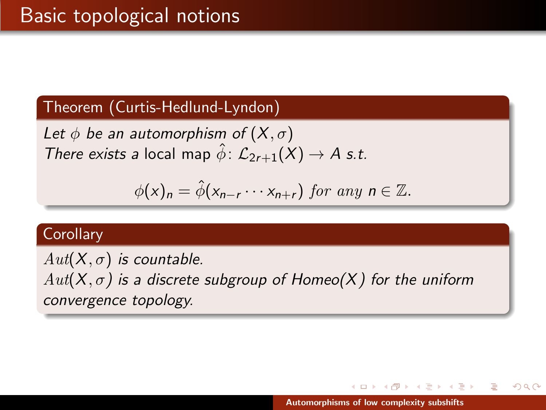Let  $\phi$  be an automorphism of  $(X,\sigma)$ There exists a local map  $\hat{\phi}$ :  $\mathcal{L}_{2r+1}(X) \rightarrow A$  s.t.

$$
\phi(x)_n = \hat{\phi}(x_{n-r} \cdots x_{n+r}) \text{ for any } n \in \mathbb{Z}.
$$

#### **Corollary**

 $Aut(X, \sigma)$  is countable.  $Aut(X, \sigma)$  is a discrete subgroup of Homeo(X) for the uniform convergence topology.

 $\mathcal{A}$   $\mathcal{F}$   $\mathcal{F}$   $\mathcal{A}$   $\mathcal{F}$   $\mathcal{F}$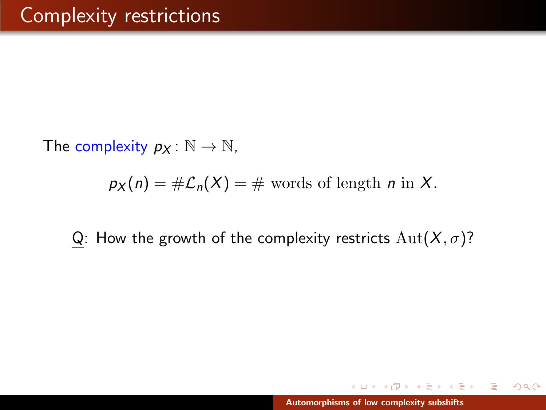The complexity  $p_X : \mathbb{N} \to \mathbb{N}$ ,

 $p_X(n) = #\mathcal{L}_n(X) = #$  words of length *n* in X.

Q: How the growth of the complexity restricts  $Aut(X, \sigma)$ ?

 $A \cap B$  is a  $B \cap B$  is a  $B \cap B$ 

 $2Q$ 

 $4.171 +$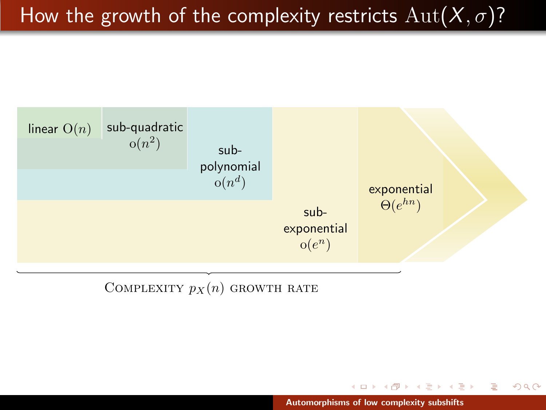# How the growth of the complexity restricts  $Aut(X, \sigma)$ ?



COMPLEXITY  $p_X(n)$  growth rate

イロン イ母ン イヨン イヨン

重

 $2Q$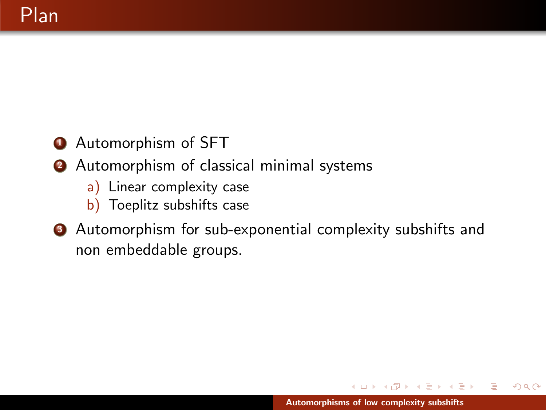- **4** Automorphism of SFT
- 2 Automorphism of classical minimal systems
	- a) Linear complexity case
	- b) Toeplitz subshifts case
- **3** Automorphism for sub-exponential complexity subshifts and non embeddable groups.

 $\leftarrow$   $\Box$ 

オター・ステーション

 $2Q$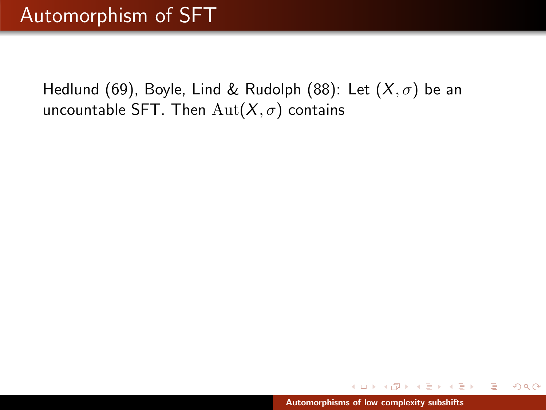Hedlund (69), Boyle, Lind & Rudolph (88): Let  $(X, \sigma)$  be an uncountable SFT. Then  $\text{Aut}(X,\sigma)$  contains

∢ 倒 ▶ . ∢ ミ ▶ . ∢ ミ ▶

 $2Q$ 

a mills.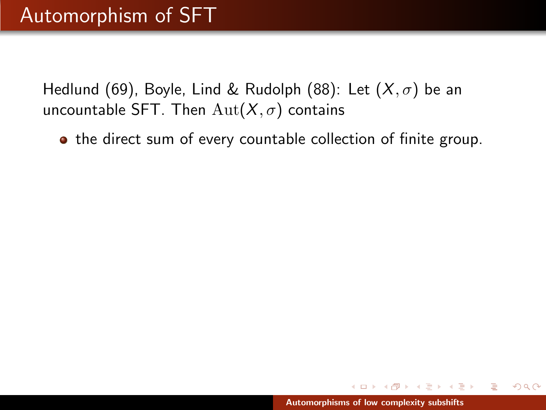Hedlund (69), Boyle, Lind & Rudolph (88): Let  $(X, \sigma)$  be an uncountable SFT. Then  $\text{Aut}(X,\sigma)$  contains

**•** the direct sum of every countable collection of finite group.

 $4.50 \times 4.75 \times 4.75 \times$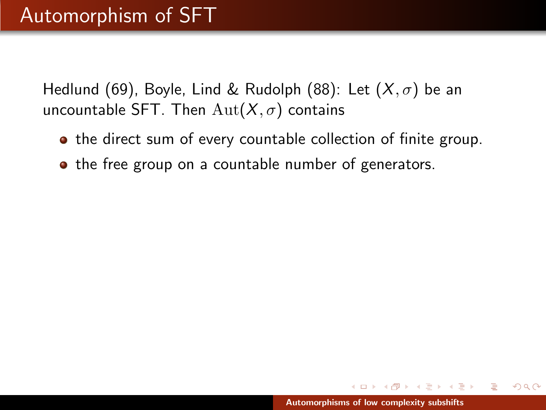Hedlund (69), Boyle, Lind & Rudolph (88): Let  $(X, \sigma)$  be an uncountable SFT. Then  $\text{Aut}(X,\sigma)$  contains

- **•** the direct sum of every countable collection of finite group.
- the free group on a countable number of generators.

マーティ ミュース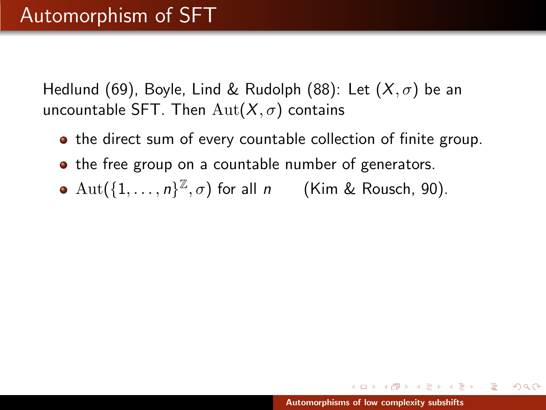Hedlund (69), Boyle, Lind & Rudolph (88): Let  $(X,\sigma)$  be an uncountable SFT. Then  $\text{Aut}(X,\sigma)$  contains

- **•** the direct sum of every countable collection of finite group.
- the free group on a countable number of generators.
- $\mathrm{Aut}(\{1,\ldots,n\}^{\mathbb{Z}},\sigma)$  for all  $n$  (Kim & Rousch, 90).

マーター マーティング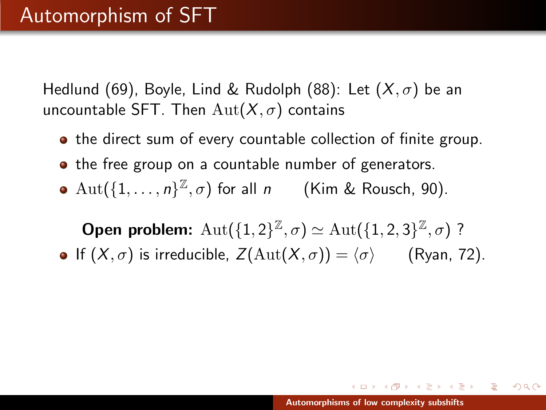Hedlund (69), Boyle, Lind & Rudolph (88): Let  $(X,\sigma)$  be an uncountable SFT. Then  $\text{Aut}(X,\sigma)$  contains

- **•** the direct sum of every countable collection of finite group.
- the free group on a countable number of generators.
- $\mathrm{Aut}(\{1,\ldots,n\}^{\mathbb{Z}},\sigma)$  for all  $n$  (Kim & Rousch, 90).

**Open problem:**  $\mathrm{Aut}(\{1,2\}^{\mathbb{Z}},\sigma) \simeq \mathrm{Aut}(\{1,2,3\}^{\mathbb{Z}},\sigma)$ ? **•** If  $(X, \sigma)$  is irreducible,  $Z(\text{Aut}(X, \sigma)) = \langle \sigma \rangle$  (Ryan, 72).

イロメ イ押 トラ ミトラ ミトー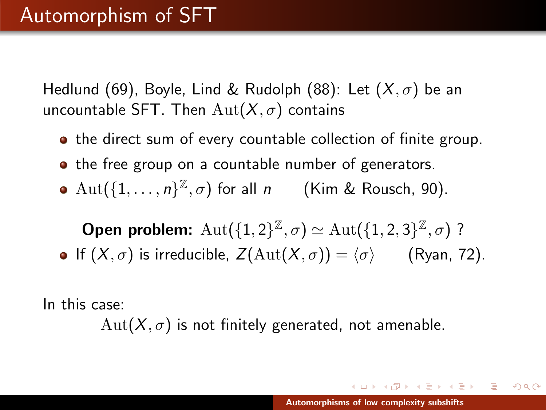Hedlund (69), Boyle, Lind & Rudolph (88): Let  $(X,\sigma)$  be an uncountable SFT. Then  $\text{Aut}(X,\sigma)$  contains

- **•** the direct sum of every countable collection of finite group.
- the free group on a countable number of generators.
- $\mathrm{Aut}(\{1,\ldots,n\}^{\mathbb{Z}},\sigma)$  for all  $n$  (Kim & Rousch, 90).

**Open problem:**  $\mathrm{Aut}(\{1,2\}^{\mathbb{Z}},\sigma) \simeq \mathrm{Aut}(\{1,2,3\}^{\mathbb{Z}},\sigma)$ ? **•** If  $(X, \sigma)$  is irreducible,  $Z(\text{Aut}(X, \sigma)) = \langle \sigma \rangle$  (Ryan, 72).

In this case:

 $Aut(X, \sigma)$  is not finitely generated, not amenable.

イロメ イ押 トラ ミトラ ミトー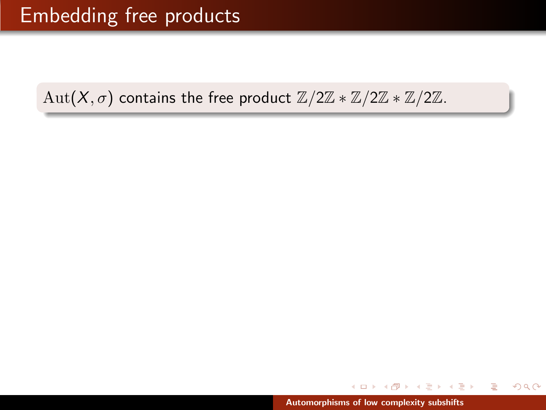メ御 ドメミ ドメミド

重

 $2Q$ 

a mills.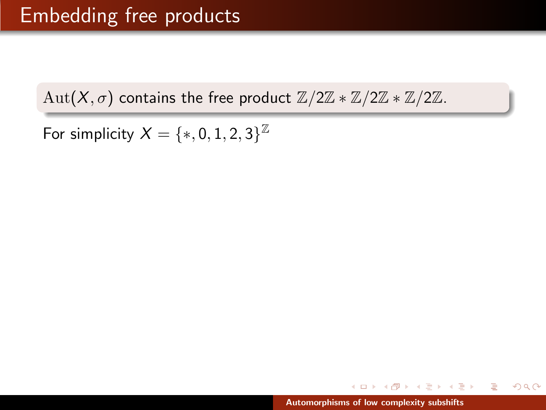For simplicity  $X=\{*,0,1,2,3\}^{\mathbb{Z}}$ 

メ 御 ト メ ヨ ト メ ヨ トー

 $2Q$ 

a mills.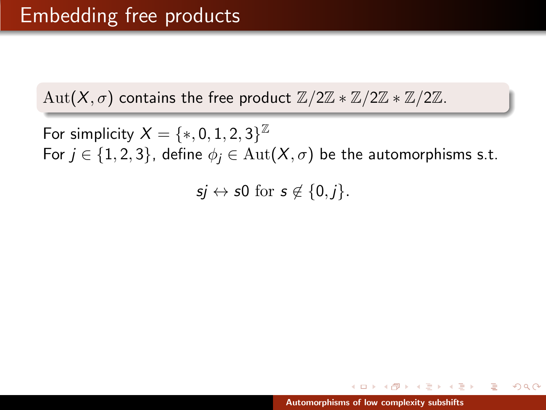For simplicity  $X=\{*,0,1,2,3\}^{\mathbb{Z}}$ For  $j \in \{1, 2, 3\}$ , define  $\phi_j \in \text{Aut}(X, \sigma)$  be the automorphisms s.t.

 $si \leftrightarrow s0$  for  $s \notin \{0, j\}.$ 

イタン イラン イラント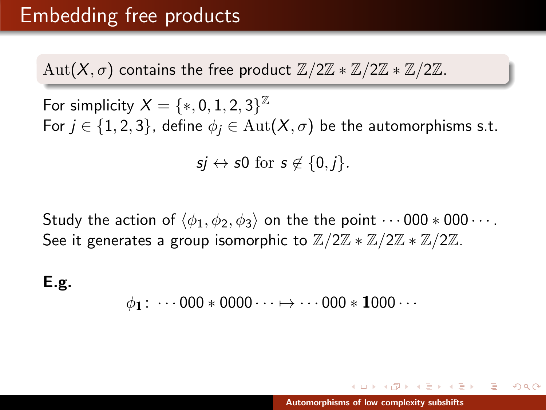$Aut(X,\sigma)$  contains the free product  $\mathbb{Z}/2\mathbb{Z} * \mathbb{Z}/2\mathbb{Z} * \mathbb{Z}/2\mathbb{Z}$ .

For simplicity  $X=\{*,0,1,2,3\}^{\mathbb{Z}}$ For  $j \in \{1, 2, 3\}$ , define  $\phi_j \in \text{Aut}(X, \sigma)$  be the automorphisms s.t.

 $si \leftrightarrow s0$  for  $s \notin \{0, j\}.$ 

Study the action of  $\langle \phi_1, \phi_2, \phi_3 \rangle$  on the the point  $\cdots$  000  $*$  000  $\cdots$ . See it generates a group isomorphic to  $\mathbb{Z}/2\mathbb{Z} * \mathbb{Z}/2\mathbb{Z} * \mathbb{Z}/2\mathbb{Z}$ .

E.g.

$$
\phi_1: \cdots 000 * 0000 \cdots \mapsto \cdots 000 * 1000 \cdots
$$

イロメ イ母メ イヨメ イヨメー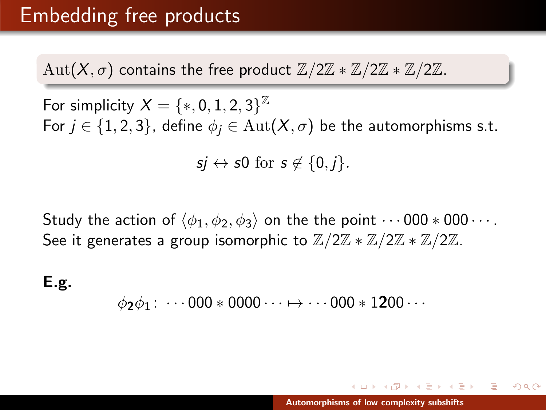$Aut(X,\sigma)$  contains the free product  $\mathbb{Z}/2\mathbb{Z} * \mathbb{Z}/2\mathbb{Z} * \mathbb{Z}/2\mathbb{Z}$ .

For simplicity  $X=\{*,0,1,2,3\}^{\mathbb{Z}}$ For  $j \in \{1, 2, 3\}$ , define  $\phi_j \in \text{Aut}(X, \sigma)$  be the automorphisms s.t.

 $si \leftrightarrow s0$  for  $s \notin \{0, j\}.$ 

Study the action of  $\langle \phi_1, \phi_2, \phi_3 \rangle$  on the the point  $\cdots$  000  $*$  000  $\cdots$ . See it generates a group isomorphic to  $\mathbb{Z}/2\mathbb{Z} * \mathbb{Z}/2\mathbb{Z} * \mathbb{Z}/2\mathbb{Z}$ .

E.g.

$$
\phi_2 \phi_1 \colon \cdots 000 * 0000 \cdots \mapsto \cdots 000 * 1200 \cdots
$$

イロメ イ母メ イヨメ イヨメー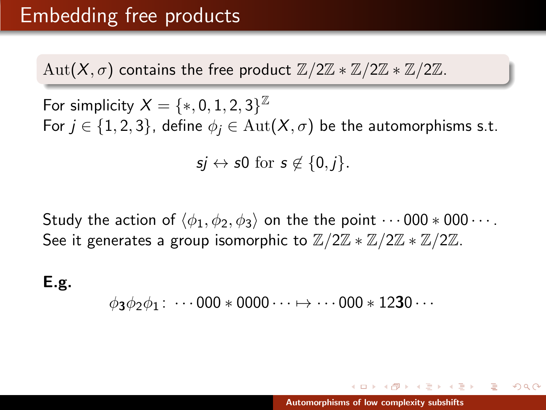$Aut(X,\sigma)$  contains the free product  $\mathbb{Z}/2\mathbb{Z} * \mathbb{Z}/2\mathbb{Z} * \mathbb{Z}/2\mathbb{Z}$ .

For simplicity  $X=\{*,0,1,2,3\}^{\mathbb{Z}}$ For  $j \in \{1, 2, 3\}$ , define  $\phi_j \in \text{Aut}(X, \sigma)$  be the automorphisms s.t.

 $si \leftrightarrow s0$  for  $s \notin \{0, j\}.$ 

Study the action of  $\langle \phi_1, \phi_2, \phi_3 \rangle$  on the the point  $\cdots$  000  $*$  000  $\cdots$ . See it generates a group isomorphic to  $\mathbb{Z}/2\mathbb{Z} * \mathbb{Z}/2\mathbb{Z} * \mathbb{Z}/2\mathbb{Z}$ .

E.g.

 $\phi_3\phi_2\phi_1 : \cdots 000 * 0000 \cdots \mapsto \cdots 000 * 1230 \cdots$ 

イロメ イ母 トラ ミックス チャー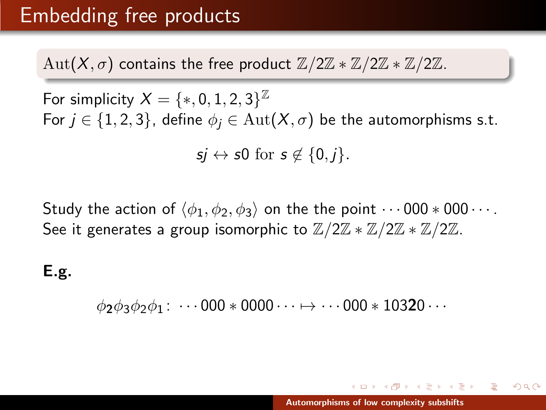Aut(X,  $\sigma$ ) contains the free product  $\mathbb{Z}/2\mathbb{Z} * \mathbb{Z}/2\mathbb{Z} * \mathbb{Z}/2\mathbb{Z}$ .

For simplicity  $X=\{*,0,1,2,3\}^{\mathbb{Z}}$ For  $j \in \{1, 2, 3\}$ , define  $\phi_j \in \text{Aut}(X, \sigma)$  be the automorphisms s.t.  $si \leftrightarrow s0$  for  $s \notin \{0, j\}.$ 

Study the action of  $\langle \phi_1, \phi_2, \phi_3 \rangle$  on the the point  $\cdots$  000  $*$  000  $\cdots$ . See it generates a group isomorphic to  $\mathbb{Z}/2\mathbb{Z} * \mathbb{Z}/2\mathbb{Z} * \mathbb{Z}/2\mathbb{Z}$ .

E.g.

 $\phi_2\phi_3\phi_2\phi_1 : \cdots 000 * 0000 \cdots \mapsto \cdots 000 * 10320 \cdots$ 

イロメ イ押 トラ ミトラ ミトー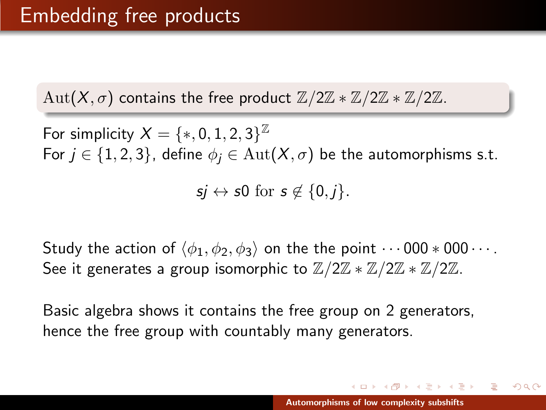For simplicity  $X=\{*,0,1,2,3\}^{\mathbb{Z}}$ For  $j \in \{1, 2, 3\}$ , define  $\phi_j \in \text{Aut}(X, \sigma)$  be the automorphisms s.t.

 $si \leftrightarrow s0$  for  $s \notin \{0, j\}.$ 

Study the action of  $\langle \phi_1, \phi_2, \phi_3 \rangle$  on the the point  $\cdots$  000  $*$  000  $\cdots$ . See it generates a group isomorphic to  $\mathbb{Z}/2\mathbb{Z} * \mathbb{Z}/2\mathbb{Z} * \mathbb{Z}/2\mathbb{Z}$ .

Basic algebra shows it contains the free group on 2 generators, hence the free group with countably many generators.

イロメ イ母メ イヨメ イヨメー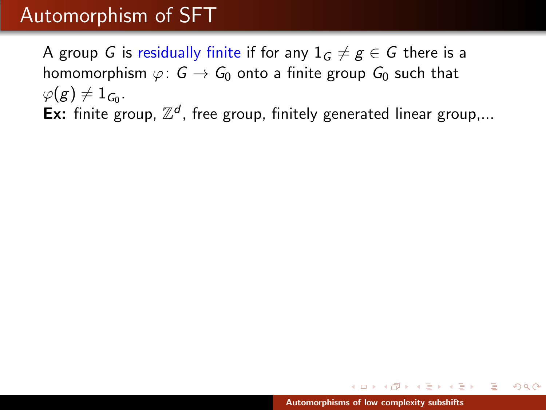A group G is residually finite if for any  $1_G \neq g \in G$  there is a homomorphism  $\varphi: G \to G_0$  onto a finite group  $G_0$  such that  $\varphi(g) \neq 1_{\mathcal{G}_0}.$ Ex: finite group,  $\mathbb{Z}^d$ , free group, finitely generated linear group,...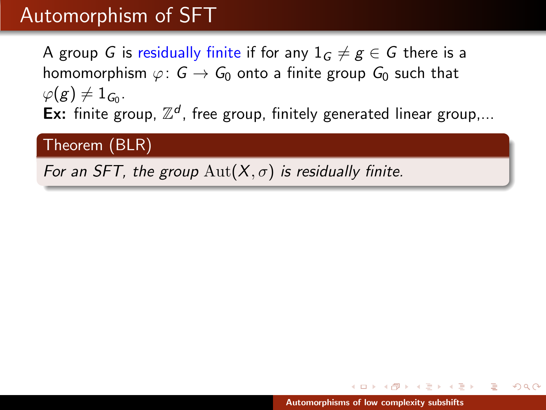A group G is residually finite if for any  $1_G \neq g \in G$  there is a homomorphism  $\varphi: G \to G_0$  onto a finite group  $G_0$  such that  $\varphi(g) \neq 1_{\mathcal{G}_0}.$ Ex: finite group,  $\mathbb{Z}^d$ , free group, finitely generated linear group,...

## Theorem (BLR)

For an SFT, the group  $\text{Aut}(X,\sigma)$  is residually finite.

マーター マーティング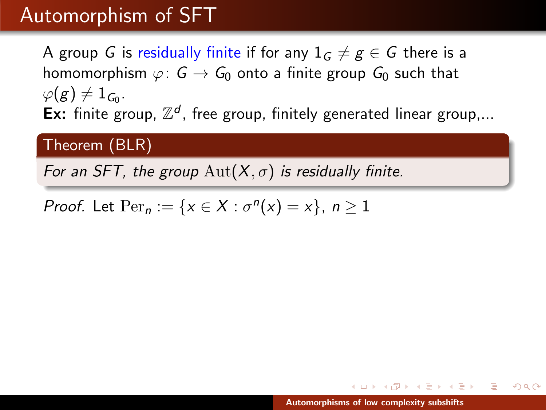A group G is residually finite if for any  $1_G \neq g \in G$  there is a homomorphism  $\varphi: G \to G_0$  onto a finite group  $G_0$  such that  $\varphi(g) \neq 1_{\mathcal{G}_0}.$ Ex: finite group,  $\mathbb{Z}^d$ , free group, finitely generated linear group,...

## Theorem (BLR)

For an SFT, the group  $\text{Aut}(X,\sigma)$  is residually finite.

Proof. Let  $\text{Per}_n := \{x \in X : \sigma^n(x) = x\}, n \ge 1$ 

マーター マーティング アール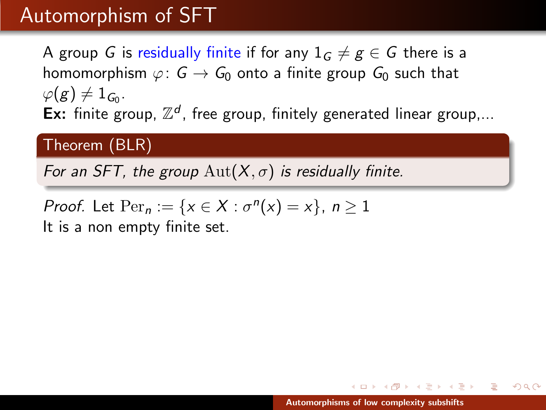A group G is residually finite if for any  $1_G \neq g \in G$  there is a homomorphism  $\varphi: G \to G_0$  onto a finite group  $G_0$  such that  $\varphi(g) \neq 1_{\mathcal{G}_0}.$ Ex: finite group,  $\mathbb{Z}^d$ , free group, finitely generated linear group,...

## Theorem (BLR)

For an SFT, the group  $\text{Aut}(X,\sigma)$  is residually finite.

Proof. Let  $\text{Per}_n := \{x \in X : \sigma^n(x) = x\}, n \ge 1$ 

It is a non empty finite set.

- オ海 ト オチ ト オチ ト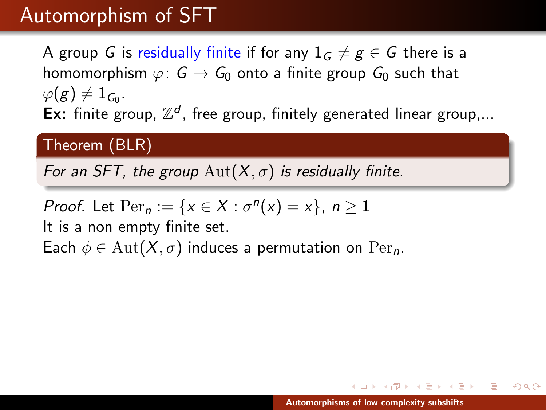# Automorphism of SFT

A group G is residually finite if for any  $1_G \neq g \in G$  there is a homomorphism  $\varphi: G \to G_0$  onto a finite group  $G_0$  such that  $\varphi(g) \neq 1_{\mathcal{G}_0}.$ Ex: finite group,  $\mathbb{Z}^d$ , free group, finitely generated linear group,...

### Theorem (BLR)

For an SFT, the group  $\text{Aut}(X,\sigma)$  is residually finite.

*Proof.* Let 
$$
\text{Per}_n := \{x \in X : \sigma^n(x) = x\}
$$
,  $n \ge 1$ 

It is a non empty finite set. Each  $\phi \in \text{Aut}(X, \sigma)$  induces a permutation on  $\text{Per}_n$ .

マーティ ミュース ミュ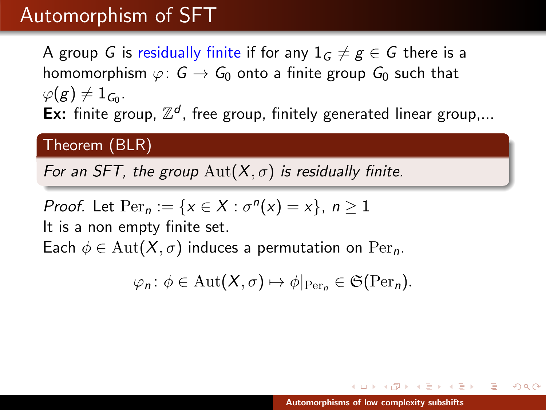# Automorphism of SFT

A group G is residually finite if for any  $1_G \neq g \in G$  there is a homomorphism  $\varphi: G \to G_0$  onto a finite group  $G_0$  such that  $\varphi(g) \neq 1_{\mathcal{G}_0}.$ Ex: finite group,  $\mathbb{Z}^d$ , free group, finitely generated linear group,...

### Theorem (BLR)

For an SFT, the group  $\text{Aut}(X,\sigma)$  is residually finite.

*Proof.* Let 
$$
\text{Per}_n := \{x \in X : \sigma^n(x) = x\}
$$
,  $n \ge 1$ 

It is a non empty finite set.

Each  $\phi \in \text{Aut}(X, \sigma)$  induces a permutation on  $\text{Per}_n$ .

$$
\varphi_n \colon \phi \in \mathrm{Aut}(X,\sigma) \mapsto \phi|_{\mathrm{Per}_n} \in \mathfrak{S}(\mathrm{Per}_n).
$$

マーティ ミュース ミュ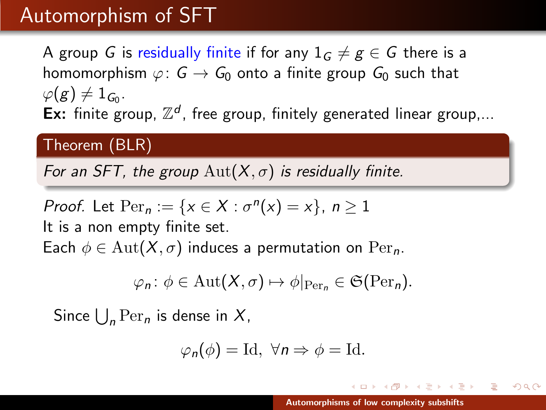# Automorphism of SFT

A group G is residually finite if for any  $1_G \neq g \in G$  there is a homomorphism  $\varphi: G \to G_0$  onto a finite group  $G_0$  such that  $\varphi(g) \neq 1_{\mathcal{G}_0}.$ Ex: finite group,  $\mathbb{Z}^d$ , free group, finitely generated linear group,...

#### Theorem (BLR)

For an SFT, the group  $\text{Aut}(X,\sigma)$  is residually finite.

*Proof.* Let Per<sub>n</sub> := {
$$
x \in X : \sigma^n(x) = x
$$
},  $n \ge 1$   
It is a non empty finite set.

Each  $\phi \in \text{Aut}(X,\sigma)$  induces a permutation on  $\text{Per}_n$ .

$$
\varphi_n \colon \phi \in \mathrm{Aut}(X,\sigma) \mapsto \phi|_{\mathrm{Per}_n} \in \mathfrak{S}(\mathrm{Per}_n).
$$

Since  $\bigcup_{n} \operatorname{Per}_n$  is dense in  $X$ ,

$$
\varphi_n(\phi) = \mathrm{Id}, \ \forall n \Rightarrow \phi = \mathrm{Id}.
$$

 $A \cap B$  is a  $B \cap B$  is a  $B \cap B$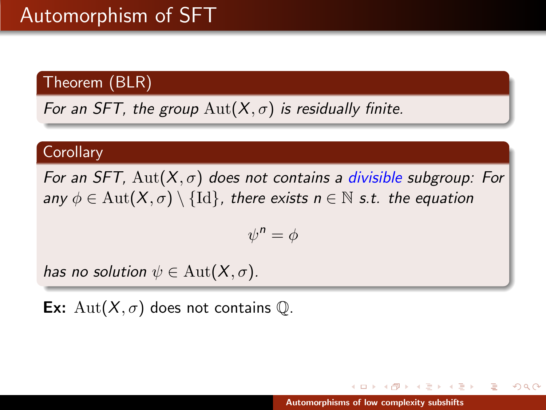For an SFT, the group  $\text{Aut}(X,\sigma)$  is residually finite.

#### **Corollary**

For an SFT,  $Aut(X, \sigma)$  does not contains a divisible subgroup: For any  $\phi \in \text{Aut}(X,\sigma) \setminus \{\text{Id}\}\$ , there exists  $n \in \mathbb{N}$  s.t. the equation

$$
\psi^n = \phi
$$

has no solution  $\psi \in \mathrm{Aut}(X,\sigma)$ .

**Ex:** Aut $(X, \sigma)$  does not contains  $\mathbb{Q}$ .

K 御 ▶ K 唐 ▶ K 唐 ▶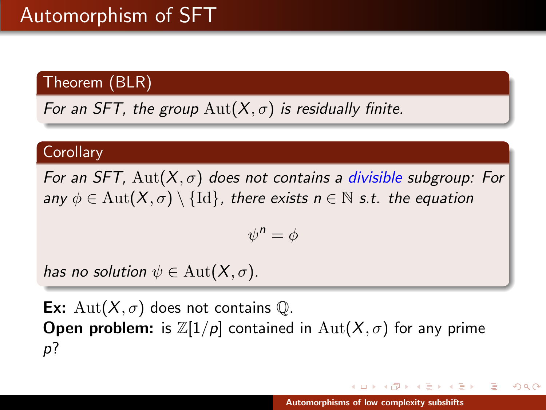For an SFT, the group  $\text{Aut}(X,\sigma)$  is residually finite.

#### **Corollary**

For an SFT,  $Aut(X, \sigma)$  does not contains a divisible subgroup: For any  $\phi \in \text{Aut}(X,\sigma) \setminus \{\text{Id}\}\$ , there exists  $n \in \mathbb{N}$  s.t. the equation

$$
\psi^n = \phi
$$

has no solution  $\psi \in \mathrm{Aut}(X,\sigma)$ .

**Ex:** Aut $(X, \sigma)$  does not contains  $\mathbb{Q}$ . **Open problem:** is  $\mathbb{Z}[1/p]$  contained in  $\text{Aut}(X,\sigma)$  for any prime p?

**RANGER REA**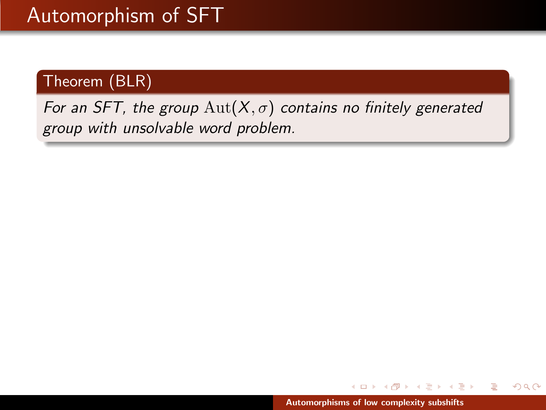For an SFT, the group  $\text{Aut}(X,\sigma)$  contains no finitely generated group with unsolvable word problem.

 $\leftarrow$   $\Box$ 

メタメメ ミメメ ミメ

 $2Q$ 

遥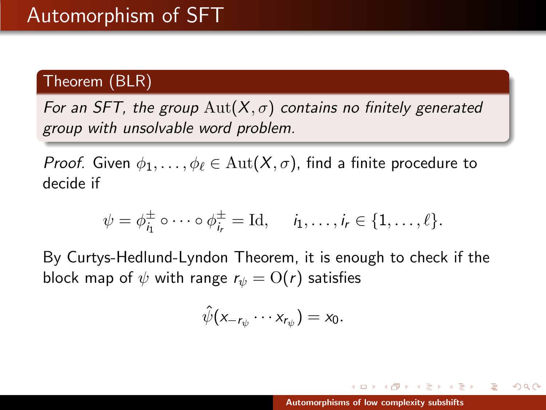For an SFT, the group  $Aut(X, \sigma)$  contains no finitely generated group with unsolvable word problem.

*Proof.* Given  $\phi_1, \ldots, \phi_\ell \in \text{Aut}(X, \sigma)$ , find a finite procedure to decide if

$$
\psi = \phi_{i_1}^{\pm} \circ \cdots \circ \phi_{i_r}^{\pm} = \mathrm{Id}, \quad i_1, \ldots, i_r \in \{1, \ldots, \ell\}.
$$

By Curtys-Hedlund-Lyndon Theorem, it is enough to check if the block map of  $\psi$  with range  $r_{\psi} = O(r)$  satisfies

$$
\hat{\psi}(x_{-r_{\psi}}\cdots x_{r_{\psi}})=x_0.
$$

マーティ ミュース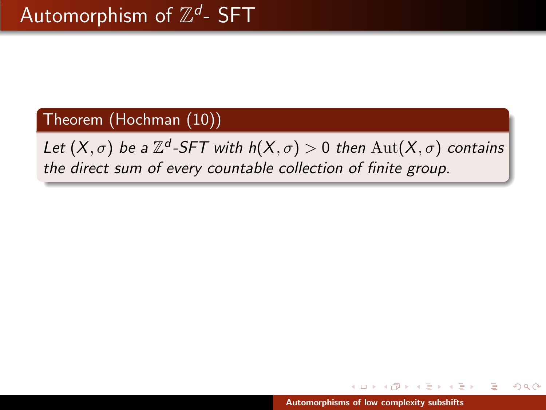# Theorem (Hochman (10))

Let  $(X,\sigma)$  be a  $\mathbb{Z}^d$ -SFT with  $h(X,\sigma) > 0$  then  $\mathrm{Aut}(X,\sigma)$  contains the direct sum of every countable collection of finite group.

つくい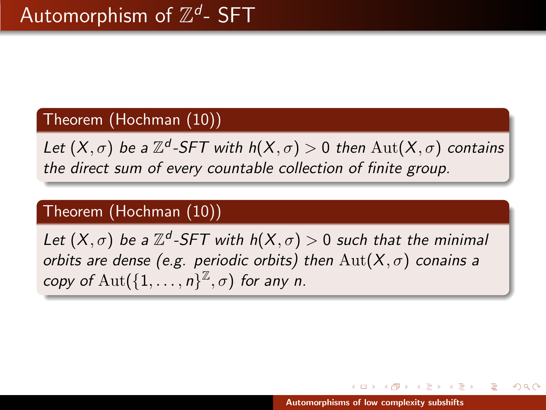# Theorem (Hochman (10))

Let  $(X,\sigma)$  be a  $\mathbb{Z}^d$ -SFT with  $h(X,\sigma) > 0$  then  $\mathrm{Aut}(X,\sigma)$  contains the direct sum of every countable collection of finite group.

# Theorem (Hochman (10))

Let  $(X,\sigma)$  be a  $\mathbb{Z}^d$ -SFT with  $h(X,\sigma) > 0$  such that the minimal orbits are dense (e.g. periodic orbits) then  $\text{Aut}(X,\sigma)$  conains a copy of  $\text{Aut}(\{1,\ldots,n\}^{\mathbb{Z}},\sigma)$  for any n.